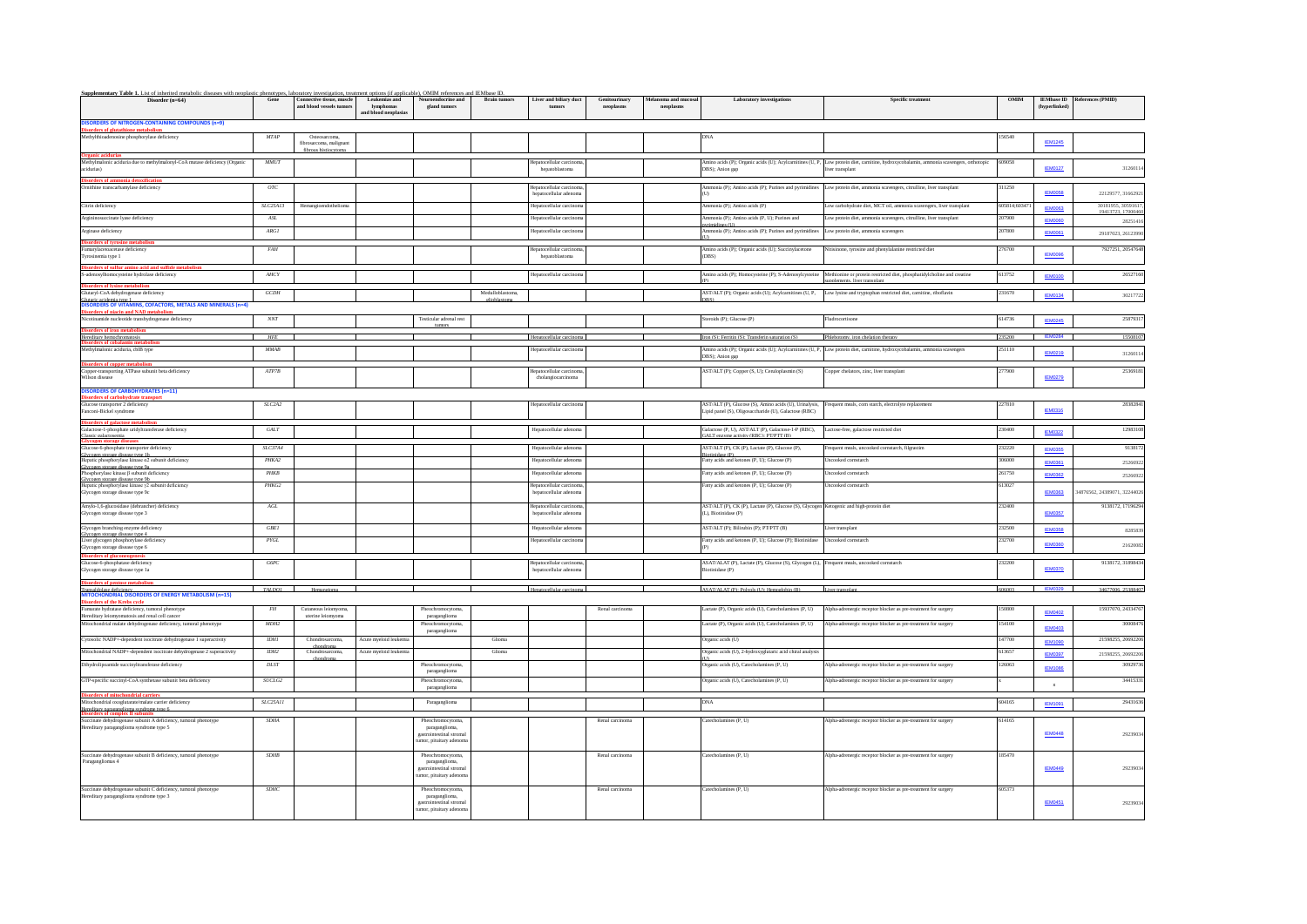| Disorder $(n=64)$<br>and blood vessels tumors<br>lymphomas<br>gland tumors<br>(hyperlinked)<br>tumors<br>neoplasms<br>neoplasms<br>and blood neoplasia<br><b>DISORDERS OF NITROGEN-CONTAINING COMPOUNDS (n=9)</b><br>Disorders of glutathione metabolism<br>Methylthioadenosine phosphorylase deficiency<br><b>MTAP</b><br>156540<br><b>DNA</b><br>Osteosarcoma.<br><b>IEM1245</b><br>fibrosarcoma, malignant<br>fibrous histiocyton<br><b>Organic acidurias</b><br>Methylmalonic aciduria due to methylmalonyl-CoA mutase deficiency (Organic<br><b>MMUT</b><br>lepatocellular carcinoma<br>Amino acids (P); Organic acids (U); Acylcarnitines (U, P, Low protein diet, carnitine, hydroxycobalamin, ammonia scavengers, orthotopic<br>609058<br>3126011<br><b>IEM0127</b><br>acidurias)<br>hepatoblastoma<br>DBS); Anion gap<br>liver transplant<br><b>Disorders of ammonia detoxification</b><br>OTC<br>Ammonia (P); Amino acids (P); Purines and pyrimidines Low protein diet, ammonia scavengers, citrulline, liver transplant<br>Hepatocellular carcinoma<br>311250<br>Ornithine transcarbamylase deficiency<br><b>IFMOOS8</b><br>hepatocellular adenoma<br>Citrin deficiency<br>SLC25A13<br>Hemangioendothelioma<br>Hepatocellular carcinom<br>Ammonia (P); Amino acids (P)<br>Low carbohydrate diet, MCT oil, ammonia scavengers, liver transplant<br>605814;60347<br><b>IEM0063</b><br>19413723, 1700046<br>207900<br>Argininosuccinate lyase deficiency<br>ASL<br>Hepatocellular carcinoma<br>Ammonia (P); Amino acids (P, U); Purines and<br>Low protein diet, ammonia scavengers, citrulline, liver transplant<br><b>IEM0060</b><br>imidines (11<br>Arginase deficiency<br>Ammonia (P); Amino acids (P); Purines and pyrimidines<br>$\mathit{ARGI}$<br>Low protein diet, ammonia scavengers<br>207800<br>Hepatocellular carcinoma<br><b>IEM0061</b><br>29187023, 2612399<br><b>Disorders of tyrosine metab</b><br>Fumarylacetoacetase deficiency<br><b>FAH</b><br>Hepatocellular carcinon<br>Amino acids (P); Organic acids (U); Succinylacetone<br>Nitisinone, tyrosine and phenylalanine restricted diet<br>276700<br>7927251, 20547648<br><b>IEM0096</b><br>Tyrosinemia type 1<br>hepatoblastoma<br>(DBS)<br>Disorders of sulfur amino acid and sulfide metabolism<br>S-adenosylhomocysteine hydrolase deficiency<br><b>AHCY</b><br>Hepatocellular carcinoma<br>Amino acids (P); Homocysteine (P); S-Adenosylcysteine Methionine or protein restricted diet, phosphatidylcholine and creatine<br>613752<br><b>IEM0100</b><br>innlements. liver transnlant<br><b>Disorders of lysine metabolis</b><br>Glutaryl-CoA dehydrogenase deficiency<br><b>GCDH</b><br>Medulloblastoma,<br>AST/ALT (P); Organic acids (U); Acylcamitines (U, P,<br>Low lysine and tryptophan restricted diet, carnitine, riboflavin<br>231670<br><b>IEM0134</b><br>30217722<br>glioblastoma<br><b>Glutaric acidemia type 1</b><br><b>DISORDERS OF VITAMINS</b><br>DRS)<br><b>SORDERS OF VITAMINS, COFACTORS, METALS AND MINERALS (n=4)</b><br>Disorders of niacin and NAD metabolism<br>2587931<br>$\ensuremath{\textit{NNT}}$<br>Testicular adrenal rest<br>Steroids (P); Glucose (P)<br>614736<br>Fludrocortisone<br>Nicotinamide nucleotide transhydrogenase deficiency<br><b>IEM0245</b><br><b>Disorders of iron metabolism</b><br><b>EM0284</b><br>235200<br>Hereditary hemochromatosis<br><b>HFE</b><br>Hepatocellular carcine<br>Iron (S): Ferritin (S): Transferin saturation (S)<br>Phlebotomy, iron chelation therapy<br>Disorders of cobalamin metabolis<br>Methylmalonic aciduria, cblB type<br>$\mathit{MMAB}$<br>Hepatocellular carcinom<br>Amino acids (P); Organic acids (U); Acylcarnitines (U, P, Low protein diet, carnitine, hydroxycobalamin, ammonia scavenger<br>251110<br>IEM0219<br>3126011<br>DBS); Anion gap<br><b>Disorders of copper metabo</b><br>Copper-transporting ATPase subunit beta deficiency<br>ATP7B<br>lepatocellular carcinom<br>AST/ALT (P); Copper (S, U); Ceruloplasmin (S)<br>Copper chelators, zinc, liver transplant<br>277900<br><b>IEM0279</b><br>Wilson disease<br>cholangiocarcinoma<br><b>DISORDERS OF CARBOHYDRATES (n=11)</b><br><b>Disorders of carbohydrate transpo</b><br>227810<br>Glucose transporter 2 deficiency<br>SLC2A2<br>Hepatocellular carcinoma<br>AST/ALT (P), Glucose (S), Amino acids (U), Urinalysis, Frequent meals, corn starch, electrolyte replacement<br>Lipid panel (S), Oligosaccharide (U), Galactose (RBC)<br><b>IEM0316</b><br>Fanconi-Bickel syndrome<br><b>Disorders of galactose metabol</b><br>Galactose (P, U), AST/ALT (P), Galactose-1-P (RBC),<br>Galactose-1-phosphate uridyltransferase deficiency<br>GALT<br>Hepatocellular adenoma<br>Lactose-free, galactose restricted diet<br>230400<br><b>IEM0322</b><br>Classic ealactosemia<br>GALT enzyme activity (RBC): PEPTT (B)<br>AST/ALT (P), CK (P), Lactate (P), Glucose (P),<br>9138172<br>Glucose-6-phosphate transporter deficiency<br><b>SLC37A4</b><br>232220<br>Hepatocellular adenoma<br>requent meals, uncooked comstarch, filerastim<br><b>IEM0355</b><br>Glymeen storage disease type 1b<br>Fatty acids and ketones (P. U): Glucose (P)<br>Hepatic phosphorylase kinase a2 subunit deficiency<br>PHKA2<br>Heratocellular adenoma<br>Incooked cornstanth<br>306000<br><b>IEM0361</b><br>2526692<br>Glycown storaev disease type 9a<br>Phosphorylase kinase β subunit deficiency<br>PHKR<br>Hepatocellular adenoma<br>Fatty acids and ketones (P, U); Glucose (P)<br>Incooked cornstanth<br>261750<br><b>IEM0362</b><br>Glymorn storage disease type 9b<br>Hepatic phosphorylase kinase y2 subunit deficiency<br>PHKG2<br>Hepatocellular carcino<br>Fatty acids and ketones (P, U); Glucose (P)<br>Uncooked cornstarch<br>613027<br>Glycogen storage disease type 9c<br>hepatocellular adenoma<br><b>IEM0363</b><br>Amylo-1,6-glucosidase (debrancher) deficiency<br>9138172, 17196294<br>AGL<br>Hepatocellular carcinoma<br>AST/ALT (P), CK (P), Lactate (P), Glucose (S), Glycogen Ketogenic and high-protein diet<br>232400<br><b>IEM0357</b><br>Glycogen storage disease type 3<br>hepatocellular adenoma<br>(L), Biotinidase (P)<br>AST/ALT (P); Bilirubin (P); PT/PTT (B)<br>Glycogen branching enzyme deficiency<br><b>GBE1</b><br>Hepatocellular adenoma<br>232500<br>Liver transplant<br><b>IEM0358</b><br>828583<br>Glymovn storace disease type 4<br>Fatty acids and ketones (P. U): Glucose (P): Biotinidase Uncooked cornstarch<br>232700<br>Liver glycogen phosphorylase deficiency<br>PYGL<br>Hepatocellular carcinoma<br><b>IEM0360</b><br>2162008<br>Glycogen storage disease type 6<br><b>Disorders of gluconeogenesis</b><br>Glucose-6-phosphatase deficiency<br>G6PC<br>Hepatocellular carcinom<br>ASAT/ALAT (P), Lactate (P), Glucose (S), Glycogen (L), Frequent meals, uncooked comstarch<br>232200<br><b>IEM0370</b><br>Glycogen storage disease type la<br>hepatocellular adenoma<br>3iotinidase (P)<br><b>Disorders of pentose metabe</b><br><b>IEM0329</b><br>Henatocellular carcinoma<br>ASAT/ALAT (P): Polyols (U): Hemoglobin (B)<br>Liver transplant<br>606003<br>Transaldolase deficiency<br>MITOCHONDRIAL DISORDERS OF ENERGY METABOLISM (n=15)<br>TAIDOI<br>Hemanoioma<br>34677006, 25388407<br>rders of the Krebs cycle<br>Fumarate hydratase deficiency, tumoral phenotyp<br><b>FH</b><br>Cutaneous leiomyoma<br>Pheochromocytoma<br>Renal carcinoma<br>Lactate (P), Organic acids (U), Catecholamines (P, U)<br>Alpha-adrenergic receptor blocker as pre-treatment for surgery<br>150800<br><b>IEM0402</b><br>Hereditary leiomyomatosis and renal cell cancer<br>uterine leiomyoma<br>paraganglioma<br>Mitochondrial malate dehydrogenase deficiency, tumoral phenotype<br>MDH2<br>Pheochromocytoma<br>Lactate (P), Organic acids (U), Catecholamines (P, U)<br>Alpha-adrenergic receptor blocker as pre-treatment for surgery<br>154100<br><b>IEM0403</b><br>paraganglioma<br>Cytosolic NADP+-dependent isocitrate dehydrogenase 1 superactivity<br>21598255, 20692206<br><b>IDHI</b><br>147700<br>Chondrosarcoma.<br>Acute myeloid leukemia<br>Glioma<br>Organic acids (U)<br><b>IEM1090</b><br>chondroma<br>Mitochondrial NADP+-dependent isocitrate dehydrogenase 2 superactivity<br>Acute myeloid leukemia<br>613657<br>IDH2<br>Glioma<br>Organic acids (U), 2-hydroxyglutaric acid chiral analysis<br>Chondrosarcoma.<br><b>IEM0397</b><br>Dihydrolipoamide succinyltransferase deficiency<br><b>DLST</b><br>Organic acids (U), Catecholamines (P, U)<br>126063<br>Pheochromocytoma.<br>Alpha-adrenergic receptor blocker as pre-treatment for surgery<br><b>IEM1086</b><br>paraganglioma<br>GTP-specific succinyl-CoA synthetase subunit beta deficiency<br>Organic acids (U), Catecholamines (P, U)<br>SUCLG <sub>2</sub><br>Pheochromocytoma,<br>Alpha-adrenergic receptor blocker as pre-treatment for surgery<br>$\mathbf{x}$<br>paraganglioma<br><b>Disorders of mitochondrial carriers</b><br>Mitochondrial oxoglutarate/malate carrier deficiency<br>SLC25A11<br><b>DNA</b><br>604165<br>Paraganglioma<br><b>IEM1091</b><br>Hereditary naraesnelionsy syndrome type 6<br>of complex II sul<br>Succinate dehydrogenase subunit A deficiency, tumoral phenotype<br><b>SDHA</b><br>Pheochromocytoms<br>Renal carcinoma<br>Catecholamines (P. U)<br>Alpha-adrenergic receptor blocker as pre-treatment for surgery<br>614165<br>Hereditary paraganglioma syndrome type $5\,$<br>paraganglioma,<br><b>IEM0448</b><br>gastrointestinal strome<br>umor, pituitary adenon<br>Succinate dehydrogenase subunit B deficiency, tumoral phenotype<br><b>SDHB</b><br>Pheochromocytoma<br>Renal carcinoma<br>Catecholamines (P, U)<br>Alpha-adrenergic receptor blocker as pre-treatment for surgery<br>185470<br>Paragangliomas 4<br>paraganglioma,<br><b>IEM0449</b><br>gastrointestinal stroma<br>tumor, pituitary adenom<br>Succinate dehydrogenase subunit C deficiency, tumoral phenotype<br><b>SDHC</b><br>Pheochromocytor<br>Renal carcinoma<br>Catecholamines (P, U)<br>Alpha-adrenergic receptor blocker as pre-treatment for surgery<br>605373<br>Hereditary paraganglioma syndrome type 3<br>paraganglioma,<br><b>IEM0451</b><br>eastrointestinal stroma |      | Supplementary Table 1. List of inherited metabolic diseases with neoplastic phenotypes, laboratory investigation, treatment options (if applicable), OMIM references and IEMbase ID. |               |                    |                     |                        |               |                      |                                  |                    |      |                   |                             |
|----------------------------------------------------------------------------------------------------------------------------------------------------------------------------------------------------------------------------------------------------------------------------------------------------------------------------------------------------------------------------------------------------------------------------------------------------------------------------------------------------------------------------------------------------------------------------------------------------------------------------------------------------------------------------------------------------------------------------------------------------------------------------------------------------------------------------------------------------------------------------------------------------------------------------------------------------------------------------------------------------------------------------------------------------------------------------------------------------------------------------------------------------------------------------------------------------------------------------------------------------------------------------------------------------------------------------------------------------------------------------------------------------------------------------------------------------------------------------------------------------------------------------------------------------------------------------------------------------------------------------------------------------------------------------------------------------------------------------------------------------------------------------------------------------------------------------------------------------------------------------------------------------------------------------------------------------------------------------------------------------------------------------------------------------------------------------------------------------------------------------------------------------------------------------------------------------------------------------------------------------------------------------------------------------------------------------------------------------------------------------------------------------------------------------------------------------------------------------------------------------------------------------------------------------------------------------------------------------------------------------------------------------------------------------------------------------------------------------------------------------------------------------------------------------------------------------------------------------------------------------------------------------------------------------------------------------------------------------------------------------------------------------------------------------------------------------------------------------------------------------------------------------------------------------------------------------------------------------------------------------------------------------------------------------------------------------------------------------------------------------------------------------------------------------------------------------------------------------------------------------------------------------------------------------------------------------------------------------------------------------------------------------------------------------------------------------------------------------------------------------------------------------------------------------------------------------------------------------------------------------------------------------------------------------------------------------------------------------------------------------------------------------------------------------------------------------------------------------------------------------------------------------------------------------------------------------------------------------------------------------------------------------------------------------------------------------------------------------------------------------------------------------------------------------------------------------------------------------------------------------------------------------------------------------------------------------------------------------------------------------------------------------------------------------------------------------------------------------------------------------------------------------------------------------------------------------------------------------------------------------------------------------------------------------------------------------------------------------------------------------------------------------------------------------------------------------------------------------------------------------------------------------------------------------------------------------------------------------------------------------------------------------------------------------------------------------------------------------------------------------------------------------------------------------------------------------------------------------------------------------------------------------------------------------------------------------------------------------------------------------------------------------------------------------------------------------------------------------------------------------------------------------------------------------------------------------------------------------------------------------------------------------------------------------------------------------------------------------------------------------------------------------------------------------------------------------------------------------------------------------------------------------------------------------------------------------------------------------------------------------------------------------------------------------------------------------------------------------------------------------------------------------------------------------------------------------------------------------------------------------------------------------------------------------------------------------------------------------------------------------------------------------------------------------------------------------------------------------------------------------------------------------------------------------------------------------------------------------------------------------------------------------------------------------------------------------------------------------------------------------------------------------------------------------------------------------------------------------------------------------------------------------------------------------------------------------------------------------------------------------------------------------------------------------------------------------------------------------------------------------------------------------------------------------------------------------------------------------------------------------------------------------------------------------------------------------------------------------------------------------------------------------------------------------------------------------------------------------------------------------------------------------------------------------------------------------------------------------------------------------------------------------------------------------------------------------------------------------------------------------------------------------------------------------------------------------------------------------------------------------------------------------------------------------------------------------------------------------------------------------------------------------------------------------------------------------------------------------------------------------------------------------------------------------------------------------------------------------------------------------------------------------------------------------------------------------------------------------------------------------------------------------------------------------------------------------------------------------------------------------------------------------------------------------------------------------------------------------------------------------------------------------------------------------------------------------------------------------------------------------------------------------------------------------------------------------------------------------------------------------------------------------------------------------------------------------------------------------------------------------------------------------------------------------------------------------------------------------------------------------------------------------------------------------------------------------------------------------------------------------------------------------------------------------------------------------------------------------------------------------------------------------------------------------------------------------------------------------------------------------------------------------------------------------------------------------------------------------------------------------------------------------------------------------------------------------------------------------------------------------------------------------------------------------------------------------------------------------------------------------------------------------------------------------------------------------------------------------------------------------|------|--------------------------------------------------------------------------------------------------------------------------------------------------------------------------------------|---------------|--------------------|---------------------|------------------------|---------------|----------------------|----------------------------------|--------------------|------|-------------------|-----------------------------|
|                                                                                                                                                                                                                                                                                                                                                                                                                                                                                                                                                                                                                                                                                                                                                                                                                                                                                                                                                                                                                                                                                                                                                                                                                                                                                                                                                                                                                                                                                                                                                                                                                                                                                                                                                                                                                                                                                                                                                                                                                                                                                                                                                                                                                                                                                                                                                                                                                                                                                                                                                                                                                                                                                                                                                                                                                                                                                                                                                                                                                                                                                                                                                                                                                                                                                                                                                                                                                                                                                                                                                                                                                                                                                                                                                                                                                                                                                                                                                                                                                                                                                                                                                                                                                                                                                                                                                                                                                                                                                                                                                                                                                                                                                                                                                                                                                                                                                                                                                                                                                                                                                                                                                                                                                                                                                                                                                                                                                                                                                                                                                                                                                                                                                                                                                                                                                                                                                                                                                                                                                                                                                                                                                                                                                                                                                                                                                                                                                                                                                                                                                                                                                                                                                                                                                                                                                                                                                                                                                                                                                                                                                                                                                                                                                                                                                                                                                                                                                                                                                                                                                                                                                                                                                                                                                                                                                                                                                                                                                                                                                                                                                                                                                                                                                                                                                                                                                                                                                                                                                                                                                                                                                                                                                                                                                                                                                                                                                                                                                                                                                                                                                                                                                                                                                                                                                                                                                                                                                                                                                                                                                                                                                                                                                                                                                                                                                                                                                                                                                                                                                                                                                                                                                                                                                                                    | Gene | Connective tissue, muscle                                                                                                                                                            | Leukemias and | Neuroendocrine and | <b>Brain tumors</b> | Liver and biliary duct | Genitourinary | Melanoma and mucosal | <b>Laboratory</b> investigations | Specific treatment | OMIM | <b>IEMbase ID</b> | References (PMID)           |
|                                                                                                                                                                                                                                                                                                                                                                                                                                                                                                                                                                                                                                                                                                                                                                                                                                                                                                                                                                                                                                                                                                                                                                                                                                                                                                                                                                                                                                                                                                                                                                                                                                                                                                                                                                                                                                                                                                                                                                                                                                                                                                                                                                                                                                                                                                                                                                                                                                                                                                                                                                                                                                                                                                                                                                                                                                                                                                                                                                                                                                                                                                                                                                                                                                                                                                                                                                                                                                                                                                                                                                                                                                                                                                                                                                                                                                                                                                                                                                                                                                                                                                                                                                                                                                                                                                                                                                                                                                                                                                                                                                                                                                                                                                                                                                                                                                                                                                                                                                                                                                                                                                                                                                                                                                                                                                                                                                                                                                                                                                                                                                                                                                                                                                                                                                                                                                                                                                                                                                                                                                                                                                                                                                                                                                                                                                                                                                                                                                                                                                                                                                                                                                                                                                                                                                                                                                                                                                                                                                                                                                                                                                                                                                                                                                                                                                                                                                                                                                                                                                                                                                                                                                                                                                                                                                                                                                                                                                                                                                                                                                                                                                                                                                                                                                                                                                                                                                                                                                                                                                                                                                                                                                                                                                                                                                                                                                                                                                                                                                                                                                                                                                                                                                                                                                                                                                                                                                                                                                                                                                                                                                                                                                                                                                                                                                                                                                                                                                                                                                                                                                                                                                                                                                                                                                                    |      |                                                                                                                                                                                      |               |                    |                     |                        |               |                      |                                  |                    |      |                   |                             |
|                                                                                                                                                                                                                                                                                                                                                                                                                                                                                                                                                                                                                                                                                                                                                                                                                                                                                                                                                                                                                                                                                                                                                                                                                                                                                                                                                                                                                                                                                                                                                                                                                                                                                                                                                                                                                                                                                                                                                                                                                                                                                                                                                                                                                                                                                                                                                                                                                                                                                                                                                                                                                                                                                                                                                                                                                                                                                                                                                                                                                                                                                                                                                                                                                                                                                                                                                                                                                                                                                                                                                                                                                                                                                                                                                                                                                                                                                                                                                                                                                                                                                                                                                                                                                                                                                                                                                                                                                                                                                                                                                                                                                                                                                                                                                                                                                                                                                                                                                                                                                                                                                                                                                                                                                                                                                                                                                                                                                                                                                                                                                                                                                                                                                                                                                                                                                                                                                                                                                                                                                                                                                                                                                                                                                                                                                                                                                                                                                                                                                                                                                                                                                                                                                                                                                                                                                                                                                                                                                                                                                                                                                                                                                                                                                                                                                                                                                                                                                                                                                                                                                                                                                                                                                                                                                                                                                                                                                                                                                                                                                                                                                                                                                                                                                                                                                                                                                                                                                                                                                                                                                                                                                                                                                                                                                                                                                                                                                                                                                                                                                                                                                                                                                                                                                                                                                                                                                                                                                                                                                                                                                                                                                                                                                                                                                                                                                                                                                                                                                                                                                                                                                                                                                                                                                                                    |      |                                                                                                                                                                                      |               |                    |                     |                        |               |                      |                                  |                    |      |                   |                             |
|                                                                                                                                                                                                                                                                                                                                                                                                                                                                                                                                                                                                                                                                                                                                                                                                                                                                                                                                                                                                                                                                                                                                                                                                                                                                                                                                                                                                                                                                                                                                                                                                                                                                                                                                                                                                                                                                                                                                                                                                                                                                                                                                                                                                                                                                                                                                                                                                                                                                                                                                                                                                                                                                                                                                                                                                                                                                                                                                                                                                                                                                                                                                                                                                                                                                                                                                                                                                                                                                                                                                                                                                                                                                                                                                                                                                                                                                                                                                                                                                                                                                                                                                                                                                                                                                                                                                                                                                                                                                                                                                                                                                                                                                                                                                                                                                                                                                                                                                                                                                                                                                                                                                                                                                                                                                                                                                                                                                                                                                                                                                                                                                                                                                                                                                                                                                                                                                                                                                                                                                                                                                                                                                                                                                                                                                                                                                                                                                                                                                                                                                                                                                                                                                                                                                                                                                                                                                                                                                                                                                                                                                                                                                                                                                                                                                                                                                                                                                                                                                                                                                                                                                                                                                                                                                                                                                                                                                                                                                                                                                                                                                                                                                                                                                                                                                                                                                                                                                                                                                                                                                                                                                                                                                                                                                                                                                                                                                                                                                                                                                                                                                                                                                                                                                                                                                                                                                                                                                                                                                                                                                                                                                                                                                                                                                                                                                                                                                                                                                                                                                                                                                                                                                                                                                                                                    |      |                                                                                                                                                                                      |               |                    |                     |                        |               |                      |                                  |                    |      |                   |                             |
|                                                                                                                                                                                                                                                                                                                                                                                                                                                                                                                                                                                                                                                                                                                                                                                                                                                                                                                                                                                                                                                                                                                                                                                                                                                                                                                                                                                                                                                                                                                                                                                                                                                                                                                                                                                                                                                                                                                                                                                                                                                                                                                                                                                                                                                                                                                                                                                                                                                                                                                                                                                                                                                                                                                                                                                                                                                                                                                                                                                                                                                                                                                                                                                                                                                                                                                                                                                                                                                                                                                                                                                                                                                                                                                                                                                                                                                                                                                                                                                                                                                                                                                                                                                                                                                                                                                                                                                                                                                                                                                                                                                                                                                                                                                                                                                                                                                                                                                                                                                                                                                                                                                                                                                                                                                                                                                                                                                                                                                                                                                                                                                                                                                                                                                                                                                                                                                                                                                                                                                                                                                                                                                                                                                                                                                                                                                                                                                                                                                                                                                                                                                                                                                                                                                                                                                                                                                                                                                                                                                                                                                                                                                                                                                                                                                                                                                                                                                                                                                                                                                                                                                                                                                                                                                                                                                                                                                                                                                                                                                                                                                                                                                                                                                                                                                                                                                                                                                                                                                                                                                                                                                                                                                                                                                                                                                                                                                                                                                                                                                                                                                                                                                                                                                                                                                                                                                                                                                                                                                                                                                                                                                                                                                                                                                                                                                                                                                                                                                                                                                                                                                                                                                                                                                                                                                    |      |                                                                                                                                                                                      |               |                    |                     |                        |               |                      |                                  |                    |      |                   |                             |
|                                                                                                                                                                                                                                                                                                                                                                                                                                                                                                                                                                                                                                                                                                                                                                                                                                                                                                                                                                                                                                                                                                                                                                                                                                                                                                                                                                                                                                                                                                                                                                                                                                                                                                                                                                                                                                                                                                                                                                                                                                                                                                                                                                                                                                                                                                                                                                                                                                                                                                                                                                                                                                                                                                                                                                                                                                                                                                                                                                                                                                                                                                                                                                                                                                                                                                                                                                                                                                                                                                                                                                                                                                                                                                                                                                                                                                                                                                                                                                                                                                                                                                                                                                                                                                                                                                                                                                                                                                                                                                                                                                                                                                                                                                                                                                                                                                                                                                                                                                                                                                                                                                                                                                                                                                                                                                                                                                                                                                                                                                                                                                                                                                                                                                                                                                                                                                                                                                                                                                                                                                                                                                                                                                                                                                                                                                                                                                                                                                                                                                                                                                                                                                                                                                                                                                                                                                                                                                                                                                                                                                                                                                                                                                                                                                                                                                                                                                                                                                                                                                                                                                                                                                                                                                                                                                                                                                                                                                                                                                                                                                                                                                                                                                                                                                                                                                                                                                                                                                                                                                                                                                                                                                                                                                                                                                                                                                                                                                                                                                                                                                                                                                                                                                                                                                                                                                                                                                                                                                                                                                                                                                                                                                                                                                                                                                                                                                                                                                                                                                                                                                                                                                                                                                                                                                                    |      |                                                                                                                                                                                      |               |                    |                     |                        |               |                      |                                  |                    |      |                   |                             |
|                                                                                                                                                                                                                                                                                                                                                                                                                                                                                                                                                                                                                                                                                                                                                                                                                                                                                                                                                                                                                                                                                                                                                                                                                                                                                                                                                                                                                                                                                                                                                                                                                                                                                                                                                                                                                                                                                                                                                                                                                                                                                                                                                                                                                                                                                                                                                                                                                                                                                                                                                                                                                                                                                                                                                                                                                                                                                                                                                                                                                                                                                                                                                                                                                                                                                                                                                                                                                                                                                                                                                                                                                                                                                                                                                                                                                                                                                                                                                                                                                                                                                                                                                                                                                                                                                                                                                                                                                                                                                                                                                                                                                                                                                                                                                                                                                                                                                                                                                                                                                                                                                                                                                                                                                                                                                                                                                                                                                                                                                                                                                                                                                                                                                                                                                                                                                                                                                                                                                                                                                                                                                                                                                                                                                                                                                                                                                                                                                                                                                                                                                                                                                                                                                                                                                                                                                                                                                                                                                                                                                                                                                                                                                                                                                                                                                                                                                                                                                                                                                                                                                                                                                                                                                                                                                                                                                                                                                                                                                                                                                                                                                                                                                                                                                                                                                                                                                                                                                                                                                                                                                                                                                                                                                                                                                                                                                                                                                                                                                                                                                                                                                                                                                                                                                                                                                                                                                                                                                                                                                                                                                                                                                                                                                                                                                                                                                                                                                                                                                                                                                                                                                                                                                                                                                                                    |      |                                                                                                                                                                                      |               |                    |                     |                        |               |                      |                                  |                    |      |                   |                             |
|                                                                                                                                                                                                                                                                                                                                                                                                                                                                                                                                                                                                                                                                                                                                                                                                                                                                                                                                                                                                                                                                                                                                                                                                                                                                                                                                                                                                                                                                                                                                                                                                                                                                                                                                                                                                                                                                                                                                                                                                                                                                                                                                                                                                                                                                                                                                                                                                                                                                                                                                                                                                                                                                                                                                                                                                                                                                                                                                                                                                                                                                                                                                                                                                                                                                                                                                                                                                                                                                                                                                                                                                                                                                                                                                                                                                                                                                                                                                                                                                                                                                                                                                                                                                                                                                                                                                                                                                                                                                                                                                                                                                                                                                                                                                                                                                                                                                                                                                                                                                                                                                                                                                                                                                                                                                                                                                                                                                                                                                                                                                                                                                                                                                                                                                                                                                                                                                                                                                                                                                                                                                                                                                                                                                                                                                                                                                                                                                                                                                                                                                                                                                                                                                                                                                                                                                                                                                                                                                                                                                                                                                                                                                                                                                                                                                                                                                                                                                                                                                                                                                                                                                                                                                                                                                                                                                                                                                                                                                                                                                                                                                                                                                                                                                                                                                                                                                                                                                                                                                                                                                                                                                                                                                                                                                                                                                                                                                                                                                                                                                                                                                                                                                                                                                                                                                                                                                                                                                                                                                                                                                                                                                                                                                                                                                                                                                                                                                                                                                                                                                                                                                                                                                                                                                                                                    |      |                                                                                                                                                                                      |               |                    |                     |                        |               |                      |                                  |                    |      |                   | 22129577, 3166292           |
|                                                                                                                                                                                                                                                                                                                                                                                                                                                                                                                                                                                                                                                                                                                                                                                                                                                                                                                                                                                                                                                                                                                                                                                                                                                                                                                                                                                                                                                                                                                                                                                                                                                                                                                                                                                                                                                                                                                                                                                                                                                                                                                                                                                                                                                                                                                                                                                                                                                                                                                                                                                                                                                                                                                                                                                                                                                                                                                                                                                                                                                                                                                                                                                                                                                                                                                                                                                                                                                                                                                                                                                                                                                                                                                                                                                                                                                                                                                                                                                                                                                                                                                                                                                                                                                                                                                                                                                                                                                                                                                                                                                                                                                                                                                                                                                                                                                                                                                                                                                                                                                                                                                                                                                                                                                                                                                                                                                                                                                                                                                                                                                                                                                                                                                                                                                                                                                                                                                                                                                                                                                                                                                                                                                                                                                                                                                                                                                                                                                                                                                                                                                                                                                                                                                                                                                                                                                                                                                                                                                                                                                                                                                                                                                                                                                                                                                                                                                                                                                                                                                                                                                                                                                                                                                                                                                                                                                                                                                                                                                                                                                                                                                                                                                                                                                                                                                                                                                                                                                                                                                                                                                                                                                                                                                                                                                                                                                                                                                                                                                                                                                                                                                                                                                                                                                                                                                                                                                                                                                                                                                                                                                                                                                                                                                                                                                                                                                                                                                                                                                                                                                                                                                                                                                                                                                    |      |                                                                                                                                                                                      |               |                    |                     |                        |               |                      |                                  |                    |      |                   | 30181955, 30591617          |
|                                                                                                                                                                                                                                                                                                                                                                                                                                                                                                                                                                                                                                                                                                                                                                                                                                                                                                                                                                                                                                                                                                                                                                                                                                                                                                                                                                                                                                                                                                                                                                                                                                                                                                                                                                                                                                                                                                                                                                                                                                                                                                                                                                                                                                                                                                                                                                                                                                                                                                                                                                                                                                                                                                                                                                                                                                                                                                                                                                                                                                                                                                                                                                                                                                                                                                                                                                                                                                                                                                                                                                                                                                                                                                                                                                                                                                                                                                                                                                                                                                                                                                                                                                                                                                                                                                                                                                                                                                                                                                                                                                                                                                                                                                                                                                                                                                                                                                                                                                                                                                                                                                                                                                                                                                                                                                                                                                                                                                                                                                                                                                                                                                                                                                                                                                                                                                                                                                                                                                                                                                                                                                                                                                                                                                                                                                                                                                                                                                                                                                                                                                                                                                                                                                                                                                                                                                                                                                                                                                                                                                                                                                                                                                                                                                                                                                                                                                                                                                                                                                                                                                                                                                                                                                                                                                                                                                                                                                                                                                                                                                                                                                                                                                                                                                                                                                                                                                                                                                                                                                                                                                                                                                                                                                                                                                                                                                                                                                                                                                                                                                                                                                                                                                                                                                                                                                                                                                                                                                                                                                                                                                                                                                                                                                                                                                                                                                                                                                                                                                                                                                                                                                                                                                                                                                                    |      |                                                                                                                                                                                      |               |                    |                     |                        |               |                      |                                  |                    |      |                   | 28251416                    |
|                                                                                                                                                                                                                                                                                                                                                                                                                                                                                                                                                                                                                                                                                                                                                                                                                                                                                                                                                                                                                                                                                                                                                                                                                                                                                                                                                                                                                                                                                                                                                                                                                                                                                                                                                                                                                                                                                                                                                                                                                                                                                                                                                                                                                                                                                                                                                                                                                                                                                                                                                                                                                                                                                                                                                                                                                                                                                                                                                                                                                                                                                                                                                                                                                                                                                                                                                                                                                                                                                                                                                                                                                                                                                                                                                                                                                                                                                                                                                                                                                                                                                                                                                                                                                                                                                                                                                                                                                                                                                                                                                                                                                                                                                                                                                                                                                                                                                                                                                                                                                                                                                                                                                                                                                                                                                                                                                                                                                                                                                                                                                                                                                                                                                                                                                                                                                                                                                                                                                                                                                                                                                                                                                                                                                                                                                                                                                                                                                                                                                                                                                                                                                                                                                                                                                                                                                                                                                                                                                                                                                                                                                                                                                                                                                                                                                                                                                                                                                                                                                                                                                                                                                                                                                                                                                                                                                                                                                                                                                                                                                                                                                                                                                                                                                                                                                                                                                                                                                                                                                                                                                                                                                                                                                                                                                                                                                                                                                                                                                                                                                                                                                                                                                                                                                                                                                                                                                                                                                                                                                                                                                                                                                                                                                                                                                                                                                                                                                                                                                                                                                                                                                                                                                                                                                                                    |      |                                                                                                                                                                                      |               |                    |                     |                        |               |                      |                                  |                    |      |                   |                             |
|                                                                                                                                                                                                                                                                                                                                                                                                                                                                                                                                                                                                                                                                                                                                                                                                                                                                                                                                                                                                                                                                                                                                                                                                                                                                                                                                                                                                                                                                                                                                                                                                                                                                                                                                                                                                                                                                                                                                                                                                                                                                                                                                                                                                                                                                                                                                                                                                                                                                                                                                                                                                                                                                                                                                                                                                                                                                                                                                                                                                                                                                                                                                                                                                                                                                                                                                                                                                                                                                                                                                                                                                                                                                                                                                                                                                                                                                                                                                                                                                                                                                                                                                                                                                                                                                                                                                                                                                                                                                                                                                                                                                                                                                                                                                                                                                                                                                                                                                                                                                                                                                                                                                                                                                                                                                                                                                                                                                                                                                                                                                                                                                                                                                                                                                                                                                                                                                                                                                                                                                                                                                                                                                                                                                                                                                                                                                                                                                                                                                                                                                                                                                                                                                                                                                                                                                                                                                                                                                                                                                                                                                                                                                                                                                                                                                                                                                                                                                                                                                                                                                                                                                                                                                                                                                                                                                                                                                                                                                                                                                                                                                                                                                                                                                                                                                                                                                                                                                                                                                                                                                                                                                                                                                                                                                                                                                                                                                                                                                                                                                                                                                                                                                                                                                                                                                                                                                                                                                                                                                                                                                                                                                                                                                                                                                                                                                                                                                                                                                                                                                                                                                                                                                                                                                                                                    |      |                                                                                                                                                                                      |               |                    |                     |                        |               |                      |                                  |                    |      |                   |                             |
|                                                                                                                                                                                                                                                                                                                                                                                                                                                                                                                                                                                                                                                                                                                                                                                                                                                                                                                                                                                                                                                                                                                                                                                                                                                                                                                                                                                                                                                                                                                                                                                                                                                                                                                                                                                                                                                                                                                                                                                                                                                                                                                                                                                                                                                                                                                                                                                                                                                                                                                                                                                                                                                                                                                                                                                                                                                                                                                                                                                                                                                                                                                                                                                                                                                                                                                                                                                                                                                                                                                                                                                                                                                                                                                                                                                                                                                                                                                                                                                                                                                                                                                                                                                                                                                                                                                                                                                                                                                                                                                                                                                                                                                                                                                                                                                                                                                                                                                                                                                                                                                                                                                                                                                                                                                                                                                                                                                                                                                                                                                                                                                                                                                                                                                                                                                                                                                                                                                                                                                                                                                                                                                                                                                                                                                                                                                                                                                                                                                                                                                                                                                                                                                                                                                                                                                                                                                                                                                                                                                                                                                                                                                                                                                                                                                                                                                                                                                                                                                                                                                                                                                                                                                                                                                                                                                                                                                                                                                                                                                                                                                                                                                                                                                                                                                                                                                                                                                                                                                                                                                                                                                                                                                                                                                                                                                                                                                                                                                                                                                                                                                                                                                                                                                                                                                                                                                                                                                                                                                                                                                                                                                                                                                                                                                                                                                                                                                                                                                                                                                                                                                                                                                                                                                                                                                    |      |                                                                                                                                                                                      |               |                    |                     |                        |               |                      |                                  |                    |      |                   |                             |
|                                                                                                                                                                                                                                                                                                                                                                                                                                                                                                                                                                                                                                                                                                                                                                                                                                                                                                                                                                                                                                                                                                                                                                                                                                                                                                                                                                                                                                                                                                                                                                                                                                                                                                                                                                                                                                                                                                                                                                                                                                                                                                                                                                                                                                                                                                                                                                                                                                                                                                                                                                                                                                                                                                                                                                                                                                                                                                                                                                                                                                                                                                                                                                                                                                                                                                                                                                                                                                                                                                                                                                                                                                                                                                                                                                                                                                                                                                                                                                                                                                                                                                                                                                                                                                                                                                                                                                                                                                                                                                                                                                                                                                                                                                                                                                                                                                                                                                                                                                                                                                                                                                                                                                                                                                                                                                                                                                                                                                                                                                                                                                                                                                                                                                                                                                                                                                                                                                                                                                                                                                                                                                                                                                                                                                                                                                                                                                                                                                                                                                                                                                                                                                                                                                                                                                                                                                                                                                                                                                                                                                                                                                                                                                                                                                                                                                                                                                                                                                                                                                                                                                                                                                                                                                                                                                                                                                                                                                                                                                                                                                                                                                                                                                                                                                                                                                                                                                                                                                                                                                                                                                                                                                                                                                                                                                                                                                                                                                                                                                                                                                                                                                                                                                                                                                                                                                                                                                                                                                                                                                                                                                                                                                                                                                                                                                                                                                                                                                                                                                                                                                                                                                                                                                                                                                                    |      |                                                                                                                                                                                      |               |                    |                     |                        |               |                      |                                  |                    |      |                   |                             |
|                                                                                                                                                                                                                                                                                                                                                                                                                                                                                                                                                                                                                                                                                                                                                                                                                                                                                                                                                                                                                                                                                                                                                                                                                                                                                                                                                                                                                                                                                                                                                                                                                                                                                                                                                                                                                                                                                                                                                                                                                                                                                                                                                                                                                                                                                                                                                                                                                                                                                                                                                                                                                                                                                                                                                                                                                                                                                                                                                                                                                                                                                                                                                                                                                                                                                                                                                                                                                                                                                                                                                                                                                                                                                                                                                                                                                                                                                                                                                                                                                                                                                                                                                                                                                                                                                                                                                                                                                                                                                                                                                                                                                                                                                                                                                                                                                                                                                                                                                                                                                                                                                                                                                                                                                                                                                                                                                                                                                                                                                                                                                                                                                                                                                                                                                                                                                                                                                                                                                                                                                                                                                                                                                                                                                                                                                                                                                                                                                                                                                                                                                                                                                                                                                                                                                                                                                                                                                                                                                                                                                                                                                                                                                                                                                                                                                                                                                                                                                                                                                                                                                                                                                                                                                                                                                                                                                                                                                                                                                                                                                                                                                                                                                                                                                                                                                                                                                                                                                                                                                                                                                                                                                                                                                                                                                                                                                                                                                                                                                                                                                                                                                                                                                                                                                                                                                                                                                                                                                                                                                                                                                                                                                                                                                                                                                                                                                                                                                                                                                                                                                                                                                                                                                                                                                                                    |      |                                                                                                                                                                                      |               |                    |                     |                        |               |                      |                                  |                    |      |                   | 26527160                    |
|                                                                                                                                                                                                                                                                                                                                                                                                                                                                                                                                                                                                                                                                                                                                                                                                                                                                                                                                                                                                                                                                                                                                                                                                                                                                                                                                                                                                                                                                                                                                                                                                                                                                                                                                                                                                                                                                                                                                                                                                                                                                                                                                                                                                                                                                                                                                                                                                                                                                                                                                                                                                                                                                                                                                                                                                                                                                                                                                                                                                                                                                                                                                                                                                                                                                                                                                                                                                                                                                                                                                                                                                                                                                                                                                                                                                                                                                                                                                                                                                                                                                                                                                                                                                                                                                                                                                                                                                                                                                                                                                                                                                                                                                                                                                                                                                                                                                                                                                                                                                                                                                                                                                                                                                                                                                                                                                                                                                                                                                                                                                                                                                                                                                                                                                                                                                                                                                                                                                                                                                                                                                                                                                                                                                                                                                                                                                                                                                                                                                                                                                                                                                                                                                                                                                                                                                                                                                                                                                                                                                                                                                                                                                                                                                                                                                                                                                                                                                                                                                                                                                                                                                                                                                                                                                                                                                                                                                                                                                                                                                                                                                                                                                                                                                                                                                                                                                                                                                                                                                                                                                                                                                                                                                                                                                                                                                                                                                                                                                                                                                                                                                                                                                                                                                                                                                                                                                                                                                                                                                                                                                                                                                                                                                                                                                                                                                                                                                                                                                                                                                                                                                                                                                                                                                                                                    |      |                                                                                                                                                                                      |               |                    |                     |                        |               |                      |                                  |                    |      |                   |                             |
|                                                                                                                                                                                                                                                                                                                                                                                                                                                                                                                                                                                                                                                                                                                                                                                                                                                                                                                                                                                                                                                                                                                                                                                                                                                                                                                                                                                                                                                                                                                                                                                                                                                                                                                                                                                                                                                                                                                                                                                                                                                                                                                                                                                                                                                                                                                                                                                                                                                                                                                                                                                                                                                                                                                                                                                                                                                                                                                                                                                                                                                                                                                                                                                                                                                                                                                                                                                                                                                                                                                                                                                                                                                                                                                                                                                                                                                                                                                                                                                                                                                                                                                                                                                                                                                                                                                                                                                                                                                                                                                                                                                                                                                                                                                                                                                                                                                                                                                                                                                                                                                                                                                                                                                                                                                                                                                                                                                                                                                                                                                                                                                                                                                                                                                                                                                                                                                                                                                                                                                                                                                                                                                                                                                                                                                                                                                                                                                                                                                                                                                                                                                                                                                                                                                                                                                                                                                                                                                                                                                                                                                                                                                                                                                                                                                                                                                                                                                                                                                                                                                                                                                                                                                                                                                                                                                                                                                                                                                                                                                                                                                                                                                                                                                                                                                                                                                                                                                                                                                                                                                                                                                                                                                                                                                                                                                                                                                                                                                                                                                                                                                                                                                                                                                                                                                                                                                                                                                                                                                                                                                                                                                                                                                                                                                                                                                                                                                                                                                                                                                                                                                                                                                                                                                                                                                    |      |                                                                                                                                                                                      |               |                    |                     |                        |               |                      |                                  |                    |      |                   |                             |
|                                                                                                                                                                                                                                                                                                                                                                                                                                                                                                                                                                                                                                                                                                                                                                                                                                                                                                                                                                                                                                                                                                                                                                                                                                                                                                                                                                                                                                                                                                                                                                                                                                                                                                                                                                                                                                                                                                                                                                                                                                                                                                                                                                                                                                                                                                                                                                                                                                                                                                                                                                                                                                                                                                                                                                                                                                                                                                                                                                                                                                                                                                                                                                                                                                                                                                                                                                                                                                                                                                                                                                                                                                                                                                                                                                                                                                                                                                                                                                                                                                                                                                                                                                                                                                                                                                                                                                                                                                                                                                                                                                                                                                                                                                                                                                                                                                                                                                                                                                                                                                                                                                                                                                                                                                                                                                                                                                                                                                                                                                                                                                                                                                                                                                                                                                                                                                                                                                                                                                                                                                                                                                                                                                                                                                                                                                                                                                                                                                                                                                                                                                                                                                                                                                                                                                                                                                                                                                                                                                                                                                                                                                                                                                                                                                                                                                                                                                                                                                                                                                                                                                                                                                                                                                                                                                                                                                                                                                                                                                                                                                                                                                                                                                                                                                                                                                                                                                                                                                                                                                                                                                                                                                                                                                                                                                                                                                                                                                                                                                                                                                                                                                                                                                                                                                                                                                                                                                                                                                                                                                                                                                                                                                                                                                                                                                                                                                                                                                                                                                                                                                                                                                                                                                                                                                                    |      |                                                                                                                                                                                      |               |                    |                     |                        |               |                      |                                  |                    |      |                   |                             |
|                                                                                                                                                                                                                                                                                                                                                                                                                                                                                                                                                                                                                                                                                                                                                                                                                                                                                                                                                                                                                                                                                                                                                                                                                                                                                                                                                                                                                                                                                                                                                                                                                                                                                                                                                                                                                                                                                                                                                                                                                                                                                                                                                                                                                                                                                                                                                                                                                                                                                                                                                                                                                                                                                                                                                                                                                                                                                                                                                                                                                                                                                                                                                                                                                                                                                                                                                                                                                                                                                                                                                                                                                                                                                                                                                                                                                                                                                                                                                                                                                                                                                                                                                                                                                                                                                                                                                                                                                                                                                                                                                                                                                                                                                                                                                                                                                                                                                                                                                                                                                                                                                                                                                                                                                                                                                                                                                                                                                                                                                                                                                                                                                                                                                                                                                                                                                                                                                                                                                                                                                                                                                                                                                                                                                                                                                                                                                                                                                                                                                                                                                                                                                                                                                                                                                                                                                                                                                                                                                                                                                                                                                                                                                                                                                                                                                                                                                                                                                                                                                                                                                                                                                                                                                                                                                                                                                                                                                                                                                                                                                                                                                                                                                                                                                                                                                                                                                                                                                                                                                                                                                                                                                                                                                                                                                                                                                                                                                                                                                                                                                                                                                                                                                                                                                                                                                                                                                                                                                                                                                                                                                                                                                                                                                                                                                                                                                                                                                                                                                                                                                                                                                                                                                                                                                                                    |      |                                                                                                                                                                                      |               |                    |                     |                        |               |                      |                                  |                    |      |                   |                             |
|                                                                                                                                                                                                                                                                                                                                                                                                                                                                                                                                                                                                                                                                                                                                                                                                                                                                                                                                                                                                                                                                                                                                                                                                                                                                                                                                                                                                                                                                                                                                                                                                                                                                                                                                                                                                                                                                                                                                                                                                                                                                                                                                                                                                                                                                                                                                                                                                                                                                                                                                                                                                                                                                                                                                                                                                                                                                                                                                                                                                                                                                                                                                                                                                                                                                                                                                                                                                                                                                                                                                                                                                                                                                                                                                                                                                                                                                                                                                                                                                                                                                                                                                                                                                                                                                                                                                                                                                                                                                                                                                                                                                                                                                                                                                                                                                                                                                                                                                                                                                                                                                                                                                                                                                                                                                                                                                                                                                                                                                                                                                                                                                                                                                                                                                                                                                                                                                                                                                                                                                                                                                                                                                                                                                                                                                                                                                                                                                                                                                                                                                                                                                                                                                                                                                                                                                                                                                                                                                                                                                                                                                                                                                                                                                                                                                                                                                                                                                                                                                                                                                                                                                                                                                                                                                                                                                                                                                                                                                                                                                                                                                                                                                                                                                                                                                                                                                                                                                                                                                                                                                                                                                                                                                                                                                                                                                                                                                                                                                                                                                                                                                                                                                                                                                                                                                                                                                                                                                                                                                                                                                                                                                                                                                                                                                                                                                                                                                                                                                                                                                                                                                                                                                                                                                                                                    |      |                                                                                                                                                                                      |               |                    |                     |                        |               |                      |                                  |                    |      |                   | 15508107                    |
|                                                                                                                                                                                                                                                                                                                                                                                                                                                                                                                                                                                                                                                                                                                                                                                                                                                                                                                                                                                                                                                                                                                                                                                                                                                                                                                                                                                                                                                                                                                                                                                                                                                                                                                                                                                                                                                                                                                                                                                                                                                                                                                                                                                                                                                                                                                                                                                                                                                                                                                                                                                                                                                                                                                                                                                                                                                                                                                                                                                                                                                                                                                                                                                                                                                                                                                                                                                                                                                                                                                                                                                                                                                                                                                                                                                                                                                                                                                                                                                                                                                                                                                                                                                                                                                                                                                                                                                                                                                                                                                                                                                                                                                                                                                                                                                                                                                                                                                                                                                                                                                                                                                                                                                                                                                                                                                                                                                                                                                                                                                                                                                                                                                                                                                                                                                                                                                                                                                                                                                                                                                                                                                                                                                                                                                                                                                                                                                                                                                                                                                                                                                                                                                                                                                                                                                                                                                                                                                                                                                                                                                                                                                                                                                                                                                                                                                                                                                                                                                                                                                                                                                                                                                                                                                                                                                                                                                                                                                                                                                                                                                                                                                                                                                                                                                                                                                                                                                                                                                                                                                                                                                                                                                                                                                                                                                                                                                                                                                                                                                                                                                                                                                                                                                                                                                                                                                                                                                                                                                                                                                                                                                                                                                                                                                                                                                                                                                                                                                                                                                                                                                                                                                                                                                                                                                    |      |                                                                                                                                                                                      |               |                    |                     |                        |               |                      |                                  |                    |      |                   |                             |
|                                                                                                                                                                                                                                                                                                                                                                                                                                                                                                                                                                                                                                                                                                                                                                                                                                                                                                                                                                                                                                                                                                                                                                                                                                                                                                                                                                                                                                                                                                                                                                                                                                                                                                                                                                                                                                                                                                                                                                                                                                                                                                                                                                                                                                                                                                                                                                                                                                                                                                                                                                                                                                                                                                                                                                                                                                                                                                                                                                                                                                                                                                                                                                                                                                                                                                                                                                                                                                                                                                                                                                                                                                                                                                                                                                                                                                                                                                                                                                                                                                                                                                                                                                                                                                                                                                                                                                                                                                                                                                                                                                                                                                                                                                                                                                                                                                                                                                                                                                                                                                                                                                                                                                                                                                                                                                                                                                                                                                                                                                                                                                                                                                                                                                                                                                                                                                                                                                                                                                                                                                                                                                                                                                                                                                                                                                                                                                                                                                                                                                                                                                                                                                                                                                                                                                                                                                                                                                                                                                                                                                                                                                                                                                                                                                                                                                                                                                                                                                                                                                                                                                                                                                                                                                                                                                                                                                                                                                                                                                                                                                                                                                                                                                                                                                                                                                                                                                                                                                                                                                                                                                                                                                                                                                                                                                                                                                                                                                                                                                                                                                                                                                                                                                                                                                                                                                                                                                                                                                                                                                                                                                                                                                                                                                                                                                                                                                                                                                                                                                                                                                                                                                                                                                                                                                                    |      |                                                                                                                                                                                      |               |                    |                     |                        |               |                      |                                  |                    |      |                   |                             |
|                                                                                                                                                                                                                                                                                                                                                                                                                                                                                                                                                                                                                                                                                                                                                                                                                                                                                                                                                                                                                                                                                                                                                                                                                                                                                                                                                                                                                                                                                                                                                                                                                                                                                                                                                                                                                                                                                                                                                                                                                                                                                                                                                                                                                                                                                                                                                                                                                                                                                                                                                                                                                                                                                                                                                                                                                                                                                                                                                                                                                                                                                                                                                                                                                                                                                                                                                                                                                                                                                                                                                                                                                                                                                                                                                                                                                                                                                                                                                                                                                                                                                                                                                                                                                                                                                                                                                                                                                                                                                                                                                                                                                                                                                                                                                                                                                                                                                                                                                                                                                                                                                                                                                                                                                                                                                                                                                                                                                                                                                                                                                                                                                                                                                                                                                                                                                                                                                                                                                                                                                                                                                                                                                                                                                                                                                                                                                                                                                                                                                                                                                                                                                                                                                                                                                                                                                                                                                                                                                                                                                                                                                                                                                                                                                                                                                                                                                                                                                                                                                                                                                                                                                                                                                                                                                                                                                                                                                                                                                                                                                                                                                                                                                                                                                                                                                                                                                                                                                                                                                                                                                                                                                                                                                                                                                                                                                                                                                                                                                                                                                                                                                                                                                                                                                                                                                                                                                                                                                                                                                                                                                                                                                                                                                                                                                                                                                                                                                                                                                                                                                                                                                                                                                                                                                                                    |      |                                                                                                                                                                                      |               |                    |                     |                        |               |                      |                                  |                    |      |                   | 25369181                    |
|                                                                                                                                                                                                                                                                                                                                                                                                                                                                                                                                                                                                                                                                                                                                                                                                                                                                                                                                                                                                                                                                                                                                                                                                                                                                                                                                                                                                                                                                                                                                                                                                                                                                                                                                                                                                                                                                                                                                                                                                                                                                                                                                                                                                                                                                                                                                                                                                                                                                                                                                                                                                                                                                                                                                                                                                                                                                                                                                                                                                                                                                                                                                                                                                                                                                                                                                                                                                                                                                                                                                                                                                                                                                                                                                                                                                                                                                                                                                                                                                                                                                                                                                                                                                                                                                                                                                                                                                                                                                                                                                                                                                                                                                                                                                                                                                                                                                                                                                                                                                                                                                                                                                                                                                                                                                                                                                                                                                                                                                                                                                                                                                                                                                                                                                                                                                                                                                                                                                                                                                                                                                                                                                                                                                                                                                                                                                                                                                                                                                                                                                                                                                                                                                                                                                                                                                                                                                                                                                                                                                                                                                                                                                                                                                                                                                                                                                                                                                                                                                                                                                                                                                                                                                                                                                                                                                                                                                                                                                                                                                                                                                                                                                                                                                                                                                                                                                                                                                                                                                                                                                                                                                                                                                                                                                                                                                                                                                                                                                                                                                                                                                                                                                                                                                                                                                                                                                                                                                                                                                                                                                                                                                                                                                                                                                                                                                                                                                                                                                                                                                                                                                                                                                                                                                                                                    |      |                                                                                                                                                                                      |               |                    |                     |                        |               |                      |                                  |                    |      |                   |                             |
|                                                                                                                                                                                                                                                                                                                                                                                                                                                                                                                                                                                                                                                                                                                                                                                                                                                                                                                                                                                                                                                                                                                                                                                                                                                                                                                                                                                                                                                                                                                                                                                                                                                                                                                                                                                                                                                                                                                                                                                                                                                                                                                                                                                                                                                                                                                                                                                                                                                                                                                                                                                                                                                                                                                                                                                                                                                                                                                                                                                                                                                                                                                                                                                                                                                                                                                                                                                                                                                                                                                                                                                                                                                                                                                                                                                                                                                                                                                                                                                                                                                                                                                                                                                                                                                                                                                                                                                                                                                                                                                                                                                                                                                                                                                                                                                                                                                                                                                                                                                                                                                                                                                                                                                                                                                                                                                                                                                                                                                                                                                                                                                                                                                                                                                                                                                                                                                                                                                                                                                                                                                                                                                                                                                                                                                                                                                                                                                                                                                                                                                                                                                                                                                                                                                                                                                                                                                                                                                                                                                                                                                                                                                                                                                                                                                                                                                                                                                                                                                                                                                                                                                                                                                                                                                                                                                                                                                                                                                                                                                                                                                                                                                                                                                                                                                                                                                                                                                                                                                                                                                                                                                                                                                                                                                                                                                                                                                                                                                                                                                                                                                                                                                                                                                                                                                                                                                                                                                                                                                                                                                                                                                                                                                                                                                                                                                                                                                                                                                                                                                                                                                                                                                                                                                                                                                    |      |                                                                                                                                                                                      |               |                    |                     |                        |               |                      |                                  |                    |      |                   |                             |
|                                                                                                                                                                                                                                                                                                                                                                                                                                                                                                                                                                                                                                                                                                                                                                                                                                                                                                                                                                                                                                                                                                                                                                                                                                                                                                                                                                                                                                                                                                                                                                                                                                                                                                                                                                                                                                                                                                                                                                                                                                                                                                                                                                                                                                                                                                                                                                                                                                                                                                                                                                                                                                                                                                                                                                                                                                                                                                                                                                                                                                                                                                                                                                                                                                                                                                                                                                                                                                                                                                                                                                                                                                                                                                                                                                                                                                                                                                                                                                                                                                                                                                                                                                                                                                                                                                                                                                                                                                                                                                                                                                                                                                                                                                                                                                                                                                                                                                                                                                                                                                                                                                                                                                                                                                                                                                                                                                                                                                                                                                                                                                                                                                                                                                                                                                                                                                                                                                                                                                                                                                                                                                                                                                                                                                                                                                                                                                                                                                                                                                                                                                                                                                                                                                                                                                                                                                                                                                                                                                                                                                                                                                                                                                                                                                                                                                                                                                                                                                                                                                                                                                                                                                                                                                                                                                                                                                                                                                                                                                                                                                                                                                                                                                                                                                                                                                                                                                                                                                                                                                                                                                                                                                                                                                                                                                                                                                                                                                                                                                                                                                                                                                                                                                                                                                                                                                                                                                                                                                                                                                                                                                                                                                                                                                                                                                                                                                                                                                                                                                                                                                                                                                                                                                                                                                                    |      |                                                                                                                                                                                      |               |                    |                     |                        |               |                      |                                  |                    |      |                   | 28382841                    |
|                                                                                                                                                                                                                                                                                                                                                                                                                                                                                                                                                                                                                                                                                                                                                                                                                                                                                                                                                                                                                                                                                                                                                                                                                                                                                                                                                                                                                                                                                                                                                                                                                                                                                                                                                                                                                                                                                                                                                                                                                                                                                                                                                                                                                                                                                                                                                                                                                                                                                                                                                                                                                                                                                                                                                                                                                                                                                                                                                                                                                                                                                                                                                                                                                                                                                                                                                                                                                                                                                                                                                                                                                                                                                                                                                                                                                                                                                                                                                                                                                                                                                                                                                                                                                                                                                                                                                                                                                                                                                                                                                                                                                                                                                                                                                                                                                                                                                                                                                                                                                                                                                                                                                                                                                                                                                                                                                                                                                                                                                                                                                                                                                                                                                                                                                                                                                                                                                                                                                                                                                                                                                                                                                                                                                                                                                                                                                                                                                                                                                                                                                                                                                                                                                                                                                                                                                                                                                                                                                                                                                                                                                                                                                                                                                                                                                                                                                                                                                                                                                                                                                                                                                                                                                                                                                                                                                                                                                                                                                                                                                                                                                                                                                                                                                                                                                                                                                                                                                                                                                                                                                                                                                                                                                                                                                                                                                                                                                                                                                                                                                                                                                                                                                                                                                                                                                                                                                                                                                                                                                                                                                                                                                                                                                                                                                                                                                                                                                                                                                                                                                                                                                                                                                                                                                                                    |      |                                                                                                                                                                                      |               |                    |                     |                        |               |                      |                                  |                    |      |                   |                             |
|                                                                                                                                                                                                                                                                                                                                                                                                                                                                                                                                                                                                                                                                                                                                                                                                                                                                                                                                                                                                                                                                                                                                                                                                                                                                                                                                                                                                                                                                                                                                                                                                                                                                                                                                                                                                                                                                                                                                                                                                                                                                                                                                                                                                                                                                                                                                                                                                                                                                                                                                                                                                                                                                                                                                                                                                                                                                                                                                                                                                                                                                                                                                                                                                                                                                                                                                                                                                                                                                                                                                                                                                                                                                                                                                                                                                                                                                                                                                                                                                                                                                                                                                                                                                                                                                                                                                                                                                                                                                                                                                                                                                                                                                                                                                                                                                                                                                                                                                                                                                                                                                                                                                                                                                                                                                                                                                                                                                                                                                                                                                                                                                                                                                                                                                                                                                                                                                                                                                                                                                                                                                                                                                                                                                                                                                                                                                                                                                                                                                                                                                                                                                                                                                                                                                                                                                                                                                                                                                                                                                                                                                                                                                                                                                                                                                                                                                                                                                                                                                                                                                                                                                                                                                                                                                                                                                                                                                                                                                                                                                                                                                                                                                                                                                                                                                                                                                                                                                                                                                                                                                                                                                                                                                                                                                                                                                                                                                                                                                                                                                                                                                                                                                                                                                                                                                                                                                                                                                                                                                                                                                                                                                                                                                                                                                                                                                                                                                                                                                                                                                                                                                                                                                                                                                                                                    |      |                                                                                                                                                                                      |               |                    |                     |                        |               |                      |                                  |                    |      |                   | 12983108                    |
|                                                                                                                                                                                                                                                                                                                                                                                                                                                                                                                                                                                                                                                                                                                                                                                                                                                                                                                                                                                                                                                                                                                                                                                                                                                                                                                                                                                                                                                                                                                                                                                                                                                                                                                                                                                                                                                                                                                                                                                                                                                                                                                                                                                                                                                                                                                                                                                                                                                                                                                                                                                                                                                                                                                                                                                                                                                                                                                                                                                                                                                                                                                                                                                                                                                                                                                                                                                                                                                                                                                                                                                                                                                                                                                                                                                                                                                                                                                                                                                                                                                                                                                                                                                                                                                                                                                                                                                                                                                                                                                                                                                                                                                                                                                                                                                                                                                                                                                                                                                                                                                                                                                                                                                                                                                                                                                                                                                                                                                                                                                                                                                                                                                                                                                                                                                                                                                                                                                                                                                                                                                                                                                                                                                                                                                                                                                                                                                                                                                                                                                                                                                                                                                                                                                                                                                                                                                                                                                                                                                                                                                                                                                                                                                                                                                                                                                                                                                                                                                                                                                                                                                                                                                                                                                                                                                                                                                                                                                                                                                                                                                                                                                                                                                                                                                                                                                                                                                                                                                                                                                                                                                                                                                                                                                                                                                                                                                                                                                                                                                                                                                                                                                                                                                                                                                                                                                                                                                                                                                                                                                                                                                                                                                                                                                                                                                                                                                                                                                                                                                                                                                                                                                                                                                                                                                    |      |                                                                                                                                                                                      |               |                    |                     |                        |               |                      |                                  |                    |      |                   |                             |
|                                                                                                                                                                                                                                                                                                                                                                                                                                                                                                                                                                                                                                                                                                                                                                                                                                                                                                                                                                                                                                                                                                                                                                                                                                                                                                                                                                                                                                                                                                                                                                                                                                                                                                                                                                                                                                                                                                                                                                                                                                                                                                                                                                                                                                                                                                                                                                                                                                                                                                                                                                                                                                                                                                                                                                                                                                                                                                                                                                                                                                                                                                                                                                                                                                                                                                                                                                                                                                                                                                                                                                                                                                                                                                                                                                                                                                                                                                                                                                                                                                                                                                                                                                                                                                                                                                                                                                                                                                                                                                                                                                                                                                                                                                                                                                                                                                                                                                                                                                                                                                                                                                                                                                                                                                                                                                                                                                                                                                                                                                                                                                                                                                                                                                                                                                                                                                                                                                                                                                                                                                                                                                                                                                                                                                                                                                                                                                                                                                                                                                                                                                                                                                                                                                                                                                                                                                                                                                                                                                                                                                                                                                                                                                                                                                                                                                                                                                                                                                                                                                                                                                                                                                                                                                                                                                                                                                                                                                                                                                                                                                                                                                                                                                                                                                                                                                                                                                                                                                                                                                                                                                                                                                                                                                                                                                                                                                                                                                                                                                                                                                                                                                                                                                                                                                                                                                                                                                                                                                                                                                                                                                                                                                                                                                                                                                                                                                                                                                                                                                                                                                                                                                                                                                                                                                                    |      |                                                                                                                                                                                      |               |                    |                     |                        |               |                      |                                  |                    |      |                   |                             |
|                                                                                                                                                                                                                                                                                                                                                                                                                                                                                                                                                                                                                                                                                                                                                                                                                                                                                                                                                                                                                                                                                                                                                                                                                                                                                                                                                                                                                                                                                                                                                                                                                                                                                                                                                                                                                                                                                                                                                                                                                                                                                                                                                                                                                                                                                                                                                                                                                                                                                                                                                                                                                                                                                                                                                                                                                                                                                                                                                                                                                                                                                                                                                                                                                                                                                                                                                                                                                                                                                                                                                                                                                                                                                                                                                                                                                                                                                                                                                                                                                                                                                                                                                                                                                                                                                                                                                                                                                                                                                                                                                                                                                                                                                                                                                                                                                                                                                                                                                                                                                                                                                                                                                                                                                                                                                                                                                                                                                                                                                                                                                                                                                                                                                                                                                                                                                                                                                                                                                                                                                                                                                                                                                                                                                                                                                                                                                                                                                                                                                                                                                                                                                                                                                                                                                                                                                                                                                                                                                                                                                                                                                                                                                                                                                                                                                                                                                                                                                                                                                                                                                                                                                                                                                                                                                                                                                                                                                                                                                                                                                                                                                                                                                                                                                                                                                                                                                                                                                                                                                                                                                                                                                                                                                                                                                                                                                                                                                                                                                                                                                                                                                                                                                                                                                                                                                                                                                                                                                                                                                                                                                                                                                                                                                                                                                                                                                                                                                                                                                                                                                                                                                                                                                                                                                                                    |      |                                                                                                                                                                                      |               |                    |                     |                        |               |                      |                                  |                    |      |                   |                             |
|                                                                                                                                                                                                                                                                                                                                                                                                                                                                                                                                                                                                                                                                                                                                                                                                                                                                                                                                                                                                                                                                                                                                                                                                                                                                                                                                                                                                                                                                                                                                                                                                                                                                                                                                                                                                                                                                                                                                                                                                                                                                                                                                                                                                                                                                                                                                                                                                                                                                                                                                                                                                                                                                                                                                                                                                                                                                                                                                                                                                                                                                                                                                                                                                                                                                                                                                                                                                                                                                                                                                                                                                                                                                                                                                                                                                                                                                                                                                                                                                                                                                                                                                                                                                                                                                                                                                                                                                                                                                                                                                                                                                                                                                                                                                                                                                                                                                                                                                                                                                                                                                                                                                                                                                                                                                                                                                                                                                                                                                                                                                                                                                                                                                                                                                                                                                                                                                                                                                                                                                                                                                                                                                                                                                                                                                                                                                                                                                                                                                                                                                                                                                                                                                                                                                                                                                                                                                                                                                                                                                                                                                                                                                                                                                                                                                                                                                                                                                                                                                                                                                                                                                                                                                                                                                                                                                                                                                                                                                                                                                                                                                                                                                                                                                                                                                                                                                                                                                                                                                                                                                                                                                                                                                                                                                                                                                                                                                                                                                                                                                                                                                                                                                                                                                                                                                                                                                                                                                                                                                                                                                                                                                                                                                                                                                                                                                                                                                                                                                                                                                                                                                                                                                                                                                                                                    |      |                                                                                                                                                                                      |               |                    |                     |                        |               |                      |                                  |                    |      |                   | 2526692                     |
|                                                                                                                                                                                                                                                                                                                                                                                                                                                                                                                                                                                                                                                                                                                                                                                                                                                                                                                                                                                                                                                                                                                                                                                                                                                                                                                                                                                                                                                                                                                                                                                                                                                                                                                                                                                                                                                                                                                                                                                                                                                                                                                                                                                                                                                                                                                                                                                                                                                                                                                                                                                                                                                                                                                                                                                                                                                                                                                                                                                                                                                                                                                                                                                                                                                                                                                                                                                                                                                                                                                                                                                                                                                                                                                                                                                                                                                                                                                                                                                                                                                                                                                                                                                                                                                                                                                                                                                                                                                                                                                                                                                                                                                                                                                                                                                                                                                                                                                                                                                                                                                                                                                                                                                                                                                                                                                                                                                                                                                                                                                                                                                                                                                                                                                                                                                                                                                                                                                                                                                                                                                                                                                                                                                                                                                                                                                                                                                                                                                                                                                                                                                                                                                                                                                                                                                                                                                                                                                                                                                                                                                                                                                                                                                                                                                                                                                                                                                                                                                                                                                                                                                                                                                                                                                                                                                                                                                                                                                                                                                                                                                                                                                                                                                                                                                                                                                                                                                                                                                                                                                                                                                                                                                                                                                                                                                                                                                                                                                                                                                                                                                                                                                                                                                                                                                                                                                                                                                                                                                                                                                                                                                                                                                                                                                                                                                                                                                                                                                                                                                                                                                                                                                                                                                                                                                    |      |                                                                                                                                                                                      |               |                    |                     |                        |               |                      |                                  |                    |      |                   | 34876562, 24389071, 3224402 |
|                                                                                                                                                                                                                                                                                                                                                                                                                                                                                                                                                                                                                                                                                                                                                                                                                                                                                                                                                                                                                                                                                                                                                                                                                                                                                                                                                                                                                                                                                                                                                                                                                                                                                                                                                                                                                                                                                                                                                                                                                                                                                                                                                                                                                                                                                                                                                                                                                                                                                                                                                                                                                                                                                                                                                                                                                                                                                                                                                                                                                                                                                                                                                                                                                                                                                                                                                                                                                                                                                                                                                                                                                                                                                                                                                                                                                                                                                                                                                                                                                                                                                                                                                                                                                                                                                                                                                                                                                                                                                                                                                                                                                                                                                                                                                                                                                                                                                                                                                                                                                                                                                                                                                                                                                                                                                                                                                                                                                                                                                                                                                                                                                                                                                                                                                                                                                                                                                                                                                                                                                                                                                                                                                                                                                                                                                                                                                                                                                                                                                                                                                                                                                                                                                                                                                                                                                                                                                                                                                                                                                                                                                                                                                                                                                                                                                                                                                                                                                                                                                                                                                                                                                                                                                                                                                                                                                                                                                                                                                                                                                                                                                                                                                                                                                                                                                                                                                                                                                                                                                                                                                                                                                                                                                                                                                                                                                                                                                                                                                                                                                                                                                                                                                                                                                                                                                                                                                                                                                                                                                                                                                                                                                                                                                                                                                                                                                                                                                                                                                                                                                                                                                                                                                                                                                                                    |      |                                                                                                                                                                                      |               |                    |                     |                        |               |                      |                                  |                    |      |                   |                             |
|                                                                                                                                                                                                                                                                                                                                                                                                                                                                                                                                                                                                                                                                                                                                                                                                                                                                                                                                                                                                                                                                                                                                                                                                                                                                                                                                                                                                                                                                                                                                                                                                                                                                                                                                                                                                                                                                                                                                                                                                                                                                                                                                                                                                                                                                                                                                                                                                                                                                                                                                                                                                                                                                                                                                                                                                                                                                                                                                                                                                                                                                                                                                                                                                                                                                                                                                                                                                                                                                                                                                                                                                                                                                                                                                                                                                                                                                                                                                                                                                                                                                                                                                                                                                                                                                                                                                                                                                                                                                                                                                                                                                                                                                                                                                                                                                                                                                                                                                                                                                                                                                                                                                                                                                                                                                                                                                                                                                                                                                                                                                                                                                                                                                                                                                                                                                                                                                                                                                                                                                                                                                                                                                                                                                                                                                                                                                                                                                                                                                                                                                                                                                                                                                                                                                                                                                                                                                                                                                                                                                                                                                                                                                                                                                                                                                                                                                                                                                                                                                                                                                                                                                                                                                                                                                                                                                                                                                                                                                                                                                                                                                                                                                                                                                                                                                                                                                                                                                                                                                                                                                                                                                                                                                                                                                                                                                                                                                                                                                                                                                                                                                                                                                                                                                                                                                                                                                                                                                                                                                                                                                                                                                                                                                                                                                                                                                                                                                                                                                                                                                                                                                                                                                                                                                                                                    |      |                                                                                                                                                                                      |               |                    |                     |                        |               |                      |                                  |                    |      |                   |                             |
|                                                                                                                                                                                                                                                                                                                                                                                                                                                                                                                                                                                                                                                                                                                                                                                                                                                                                                                                                                                                                                                                                                                                                                                                                                                                                                                                                                                                                                                                                                                                                                                                                                                                                                                                                                                                                                                                                                                                                                                                                                                                                                                                                                                                                                                                                                                                                                                                                                                                                                                                                                                                                                                                                                                                                                                                                                                                                                                                                                                                                                                                                                                                                                                                                                                                                                                                                                                                                                                                                                                                                                                                                                                                                                                                                                                                                                                                                                                                                                                                                                                                                                                                                                                                                                                                                                                                                                                                                                                                                                                                                                                                                                                                                                                                                                                                                                                                                                                                                                                                                                                                                                                                                                                                                                                                                                                                                                                                                                                                                                                                                                                                                                                                                                                                                                                                                                                                                                                                                                                                                                                                                                                                                                                                                                                                                                                                                                                                                                                                                                                                                                                                                                                                                                                                                                                                                                                                                                                                                                                                                                                                                                                                                                                                                                                                                                                                                                                                                                                                                                                                                                                                                                                                                                                                                                                                                                                                                                                                                                                                                                                                                                                                                                                                                                                                                                                                                                                                                                                                                                                                                                                                                                                                                                                                                                                                                                                                                                                                                                                                                                                                                                                                                                                                                                                                                                                                                                                                                                                                                                                                                                                                                                                                                                                                                                                                                                                                                                                                                                                                                                                                                                                                                                                                                                                    |      |                                                                                                                                                                                      |               |                    |                     |                        |               |                      |                                  |                    |      |                   |                             |
|                                                                                                                                                                                                                                                                                                                                                                                                                                                                                                                                                                                                                                                                                                                                                                                                                                                                                                                                                                                                                                                                                                                                                                                                                                                                                                                                                                                                                                                                                                                                                                                                                                                                                                                                                                                                                                                                                                                                                                                                                                                                                                                                                                                                                                                                                                                                                                                                                                                                                                                                                                                                                                                                                                                                                                                                                                                                                                                                                                                                                                                                                                                                                                                                                                                                                                                                                                                                                                                                                                                                                                                                                                                                                                                                                                                                                                                                                                                                                                                                                                                                                                                                                                                                                                                                                                                                                                                                                                                                                                                                                                                                                                                                                                                                                                                                                                                                                                                                                                                                                                                                                                                                                                                                                                                                                                                                                                                                                                                                                                                                                                                                                                                                                                                                                                                                                                                                                                                                                                                                                                                                                                                                                                                                                                                                                                                                                                                                                                                                                                                                                                                                                                                                                                                                                                                                                                                                                                                                                                                                                                                                                                                                                                                                                                                                                                                                                                                                                                                                                                                                                                                                                                                                                                                                                                                                                                                                                                                                                                                                                                                                                                                                                                                                                                                                                                                                                                                                                                                                                                                                                                                                                                                                                                                                                                                                                                                                                                                                                                                                                                                                                                                                                                                                                                                                                                                                                                                                                                                                                                                                                                                                                                                                                                                                                                                                                                                                                                                                                                                                                                                                                                                                                                                                                                                    |      |                                                                                                                                                                                      |               |                    |                     |                        |               |                      |                                  |                    |      |                   |                             |
|                                                                                                                                                                                                                                                                                                                                                                                                                                                                                                                                                                                                                                                                                                                                                                                                                                                                                                                                                                                                                                                                                                                                                                                                                                                                                                                                                                                                                                                                                                                                                                                                                                                                                                                                                                                                                                                                                                                                                                                                                                                                                                                                                                                                                                                                                                                                                                                                                                                                                                                                                                                                                                                                                                                                                                                                                                                                                                                                                                                                                                                                                                                                                                                                                                                                                                                                                                                                                                                                                                                                                                                                                                                                                                                                                                                                                                                                                                                                                                                                                                                                                                                                                                                                                                                                                                                                                                                                                                                                                                                                                                                                                                                                                                                                                                                                                                                                                                                                                                                                                                                                                                                                                                                                                                                                                                                                                                                                                                                                                                                                                                                                                                                                                                                                                                                                                                                                                                                                                                                                                                                                                                                                                                                                                                                                                                                                                                                                                                                                                                                                                                                                                                                                                                                                                                                                                                                                                                                                                                                                                                                                                                                                                                                                                                                                                                                                                                                                                                                                                                                                                                                                                                                                                                                                                                                                                                                                                                                                                                                                                                                                                                                                                                                                                                                                                                                                                                                                                                                                                                                                                                                                                                                                                                                                                                                                                                                                                                                                                                                                                                                                                                                                                                                                                                                                                                                                                                                                                                                                                                                                                                                                                                                                                                                                                                                                                                                                                                                                                                                                                                                                                                                                                                                                                                                    |      |                                                                                                                                                                                      |               |                    |                     |                        |               |                      |                                  |                    |      |                   |                             |
|                                                                                                                                                                                                                                                                                                                                                                                                                                                                                                                                                                                                                                                                                                                                                                                                                                                                                                                                                                                                                                                                                                                                                                                                                                                                                                                                                                                                                                                                                                                                                                                                                                                                                                                                                                                                                                                                                                                                                                                                                                                                                                                                                                                                                                                                                                                                                                                                                                                                                                                                                                                                                                                                                                                                                                                                                                                                                                                                                                                                                                                                                                                                                                                                                                                                                                                                                                                                                                                                                                                                                                                                                                                                                                                                                                                                                                                                                                                                                                                                                                                                                                                                                                                                                                                                                                                                                                                                                                                                                                                                                                                                                                                                                                                                                                                                                                                                                                                                                                                                                                                                                                                                                                                                                                                                                                                                                                                                                                                                                                                                                                                                                                                                                                                                                                                                                                                                                                                                                                                                                                                                                                                                                                                                                                                                                                                                                                                                                                                                                                                                                                                                                                                                                                                                                                                                                                                                                                                                                                                                                                                                                                                                                                                                                                                                                                                                                                                                                                                                                                                                                                                                                                                                                                                                                                                                                                                                                                                                                                                                                                                                                                                                                                                                                                                                                                                                                                                                                                                                                                                                                                                                                                                                                                                                                                                                                                                                                                                                                                                                                                                                                                                                                                                                                                                                                                                                                                                                                                                                                                                                                                                                                                                                                                                                                                                                                                                                                                                                                                                                                                                                                                                                                                                                                                                    |      |                                                                                                                                                                                      |               |                    |                     |                        |               |                      |                                  |                    |      |                   | 9138172, 31898434           |
|                                                                                                                                                                                                                                                                                                                                                                                                                                                                                                                                                                                                                                                                                                                                                                                                                                                                                                                                                                                                                                                                                                                                                                                                                                                                                                                                                                                                                                                                                                                                                                                                                                                                                                                                                                                                                                                                                                                                                                                                                                                                                                                                                                                                                                                                                                                                                                                                                                                                                                                                                                                                                                                                                                                                                                                                                                                                                                                                                                                                                                                                                                                                                                                                                                                                                                                                                                                                                                                                                                                                                                                                                                                                                                                                                                                                                                                                                                                                                                                                                                                                                                                                                                                                                                                                                                                                                                                                                                                                                                                                                                                                                                                                                                                                                                                                                                                                                                                                                                                                                                                                                                                                                                                                                                                                                                                                                                                                                                                                                                                                                                                                                                                                                                                                                                                                                                                                                                                                                                                                                                                                                                                                                                                                                                                                                                                                                                                                                                                                                                                                                                                                                                                                                                                                                                                                                                                                                                                                                                                                                                                                                                                                                                                                                                                                                                                                                                                                                                                                                                                                                                                                                                                                                                                                                                                                                                                                                                                                                                                                                                                                                                                                                                                                                                                                                                                                                                                                                                                                                                                                                                                                                                                                                                                                                                                                                                                                                                                                                                                                                                                                                                                                                                                                                                                                                                                                                                                                                                                                                                                                                                                                                                                                                                                                                                                                                                                                                                                                                                                                                                                                                                                                                                                                                                                    |      |                                                                                                                                                                                      |               |                    |                     |                        |               |                      |                                  |                    |      |                   |                             |
|                                                                                                                                                                                                                                                                                                                                                                                                                                                                                                                                                                                                                                                                                                                                                                                                                                                                                                                                                                                                                                                                                                                                                                                                                                                                                                                                                                                                                                                                                                                                                                                                                                                                                                                                                                                                                                                                                                                                                                                                                                                                                                                                                                                                                                                                                                                                                                                                                                                                                                                                                                                                                                                                                                                                                                                                                                                                                                                                                                                                                                                                                                                                                                                                                                                                                                                                                                                                                                                                                                                                                                                                                                                                                                                                                                                                                                                                                                                                                                                                                                                                                                                                                                                                                                                                                                                                                                                                                                                                                                                                                                                                                                                                                                                                                                                                                                                                                                                                                                                                                                                                                                                                                                                                                                                                                                                                                                                                                                                                                                                                                                                                                                                                                                                                                                                                                                                                                                                                                                                                                                                                                                                                                                                                                                                                                                                                                                                                                                                                                                                                                                                                                                                                                                                                                                                                                                                                                                                                                                                                                                                                                                                                                                                                                                                                                                                                                                                                                                                                                                                                                                                                                                                                                                                                                                                                                                                                                                                                                                                                                                                                                                                                                                                                                                                                                                                                                                                                                                                                                                                                                                                                                                                                                                                                                                                                                                                                                                                                                                                                                                                                                                                                                                                                                                                                                                                                                                                                                                                                                                                                                                                                                                                                                                                                                                                                                                                                                                                                                                                                                                                                                                                                                                                                                                                    |      |                                                                                                                                                                                      |               |                    |                     |                        |               |                      |                                  |                    |      |                   |                             |
|                                                                                                                                                                                                                                                                                                                                                                                                                                                                                                                                                                                                                                                                                                                                                                                                                                                                                                                                                                                                                                                                                                                                                                                                                                                                                                                                                                                                                                                                                                                                                                                                                                                                                                                                                                                                                                                                                                                                                                                                                                                                                                                                                                                                                                                                                                                                                                                                                                                                                                                                                                                                                                                                                                                                                                                                                                                                                                                                                                                                                                                                                                                                                                                                                                                                                                                                                                                                                                                                                                                                                                                                                                                                                                                                                                                                                                                                                                                                                                                                                                                                                                                                                                                                                                                                                                                                                                                                                                                                                                                                                                                                                                                                                                                                                                                                                                                                                                                                                                                                                                                                                                                                                                                                                                                                                                                                                                                                                                                                                                                                                                                                                                                                                                                                                                                                                                                                                                                                                                                                                                                                                                                                                                                                                                                                                                                                                                                                                                                                                                                                                                                                                                                                                                                                                                                                                                                                                                                                                                                                                                                                                                                                                                                                                                                                                                                                                                                                                                                                                                                                                                                                                                                                                                                                                                                                                                                                                                                                                                                                                                                                                                                                                                                                                                                                                                                                                                                                                                                                                                                                                                                                                                                                                                                                                                                                                                                                                                                                                                                                                                                                                                                                                                                                                                                                                                                                                                                                                                                                                                                                                                                                                                                                                                                                                                                                                                                                                                                                                                                                                                                                                                                                                                                                                                                    |      |                                                                                                                                                                                      |               |                    |                     |                        |               |                      |                                  |                    |      |                   |                             |
|                                                                                                                                                                                                                                                                                                                                                                                                                                                                                                                                                                                                                                                                                                                                                                                                                                                                                                                                                                                                                                                                                                                                                                                                                                                                                                                                                                                                                                                                                                                                                                                                                                                                                                                                                                                                                                                                                                                                                                                                                                                                                                                                                                                                                                                                                                                                                                                                                                                                                                                                                                                                                                                                                                                                                                                                                                                                                                                                                                                                                                                                                                                                                                                                                                                                                                                                                                                                                                                                                                                                                                                                                                                                                                                                                                                                                                                                                                                                                                                                                                                                                                                                                                                                                                                                                                                                                                                                                                                                                                                                                                                                                                                                                                                                                                                                                                                                                                                                                                                                                                                                                                                                                                                                                                                                                                                                                                                                                                                                                                                                                                                                                                                                                                                                                                                                                                                                                                                                                                                                                                                                                                                                                                                                                                                                                                                                                                                                                                                                                                                                                                                                                                                                                                                                                                                                                                                                                                                                                                                                                                                                                                                                                                                                                                                                                                                                                                                                                                                                                                                                                                                                                                                                                                                                                                                                                                                                                                                                                                                                                                                                                                                                                                                                                                                                                                                                                                                                                                                                                                                                                                                                                                                                                                                                                                                                                                                                                                                                                                                                                                                                                                                                                                                                                                                                                                                                                                                                                                                                                                                                                                                                                                                                                                                                                                                                                                                                                                                                                                                                                                                                                                                                                                                                                                                    |      |                                                                                                                                                                                      |               |                    |                     |                        |               |                      |                                  |                    |      |                   | 15937070, 24334767          |
|                                                                                                                                                                                                                                                                                                                                                                                                                                                                                                                                                                                                                                                                                                                                                                                                                                                                                                                                                                                                                                                                                                                                                                                                                                                                                                                                                                                                                                                                                                                                                                                                                                                                                                                                                                                                                                                                                                                                                                                                                                                                                                                                                                                                                                                                                                                                                                                                                                                                                                                                                                                                                                                                                                                                                                                                                                                                                                                                                                                                                                                                                                                                                                                                                                                                                                                                                                                                                                                                                                                                                                                                                                                                                                                                                                                                                                                                                                                                                                                                                                                                                                                                                                                                                                                                                                                                                                                                                                                                                                                                                                                                                                                                                                                                                                                                                                                                                                                                                                                                                                                                                                                                                                                                                                                                                                                                                                                                                                                                                                                                                                                                                                                                                                                                                                                                                                                                                                                                                                                                                                                                                                                                                                                                                                                                                                                                                                                                                                                                                                                                                                                                                                                                                                                                                                                                                                                                                                                                                                                                                                                                                                                                                                                                                                                                                                                                                                                                                                                                                                                                                                                                                                                                                                                                                                                                                                                                                                                                                                                                                                                                                                                                                                                                                                                                                                                                                                                                                                                                                                                                                                                                                                                                                                                                                                                                                                                                                                                                                                                                                                                                                                                                                                                                                                                                                                                                                                                                                                                                                                                                                                                                                                                                                                                                                                                                                                                                                                                                                                                                                                                                                                                                                                                                                                                    |      |                                                                                                                                                                                      |               |                    |                     |                        |               |                      |                                  |                    |      |                   | 30008476                    |
|                                                                                                                                                                                                                                                                                                                                                                                                                                                                                                                                                                                                                                                                                                                                                                                                                                                                                                                                                                                                                                                                                                                                                                                                                                                                                                                                                                                                                                                                                                                                                                                                                                                                                                                                                                                                                                                                                                                                                                                                                                                                                                                                                                                                                                                                                                                                                                                                                                                                                                                                                                                                                                                                                                                                                                                                                                                                                                                                                                                                                                                                                                                                                                                                                                                                                                                                                                                                                                                                                                                                                                                                                                                                                                                                                                                                                                                                                                                                                                                                                                                                                                                                                                                                                                                                                                                                                                                                                                                                                                                                                                                                                                                                                                                                                                                                                                                                                                                                                                                                                                                                                                                                                                                                                                                                                                                                                                                                                                                                                                                                                                                                                                                                                                                                                                                                                                                                                                                                                                                                                                                                                                                                                                                                                                                                                                                                                                                                                                                                                                                                                                                                                                                                                                                                                                                                                                                                                                                                                                                                                                                                                                                                                                                                                                                                                                                                                                                                                                                                                                                                                                                                                                                                                                                                                                                                                                                                                                                                                                                                                                                                                                                                                                                                                                                                                                                                                                                                                                                                                                                                                                                                                                                                                                                                                                                                                                                                                                                                                                                                                                                                                                                                                                                                                                                                                                                                                                                                                                                                                                                                                                                                                                                                                                                                                                                                                                                                                                                                                                                                                                                                                                                                                                                                                                                    |      |                                                                                                                                                                                      |               |                    |                     |                        |               |                      |                                  |                    |      |                   |                             |
|                                                                                                                                                                                                                                                                                                                                                                                                                                                                                                                                                                                                                                                                                                                                                                                                                                                                                                                                                                                                                                                                                                                                                                                                                                                                                                                                                                                                                                                                                                                                                                                                                                                                                                                                                                                                                                                                                                                                                                                                                                                                                                                                                                                                                                                                                                                                                                                                                                                                                                                                                                                                                                                                                                                                                                                                                                                                                                                                                                                                                                                                                                                                                                                                                                                                                                                                                                                                                                                                                                                                                                                                                                                                                                                                                                                                                                                                                                                                                                                                                                                                                                                                                                                                                                                                                                                                                                                                                                                                                                                                                                                                                                                                                                                                                                                                                                                                                                                                                                                                                                                                                                                                                                                                                                                                                                                                                                                                                                                                                                                                                                                                                                                                                                                                                                                                                                                                                                                                                                                                                                                                                                                                                                                                                                                                                                                                                                                                                                                                                                                                                                                                                                                                                                                                                                                                                                                                                                                                                                                                                                                                                                                                                                                                                                                                                                                                                                                                                                                                                                                                                                                                                                                                                                                                                                                                                                                                                                                                                                                                                                                                                                                                                                                                                                                                                                                                                                                                                                                                                                                                                                                                                                                                                                                                                                                                                                                                                                                                                                                                                                                                                                                                                                                                                                                                                                                                                                                                                                                                                                                                                                                                                                                                                                                                                                                                                                                                                                                                                                                                                                                                                                                                                                                                                                                    |      |                                                                                                                                                                                      |               |                    |                     |                        |               |                      |                                  |                    |      |                   |                             |
|                                                                                                                                                                                                                                                                                                                                                                                                                                                                                                                                                                                                                                                                                                                                                                                                                                                                                                                                                                                                                                                                                                                                                                                                                                                                                                                                                                                                                                                                                                                                                                                                                                                                                                                                                                                                                                                                                                                                                                                                                                                                                                                                                                                                                                                                                                                                                                                                                                                                                                                                                                                                                                                                                                                                                                                                                                                                                                                                                                                                                                                                                                                                                                                                                                                                                                                                                                                                                                                                                                                                                                                                                                                                                                                                                                                                                                                                                                                                                                                                                                                                                                                                                                                                                                                                                                                                                                                                                                                                                                                                                                                                                                                                                                                                                                                                                                                                                                                                                                                                                                                                                                                                                                                                                                                                                                                                                                                                                                                                                                                                                                                                                                                                                                                                                                                                                                                                                                                                                                                                                                                                                                                                                                                                                                                                                                                                                                                                                                                                                                                                                                                                                                                                                                                                                                                                                                                                                                                                                                                                                                                                                                                                                                                                                                                                                                                                                                                                                                                                                                                                                                                                                                                                                                                                                                                                                                                                                                                                                                                                                                                                                                                                                                                                                                                                                                                                                                                                                                                                                                                                                                                                                                                                                                                                                                                                                                                                                                                                                                                                                                                                                                                                                                                                                                                                                                                                                                                                                                                                                                                                                                                                                                                                                                                                                                                                                                                                                                                                                                                                                                                                                                                                                                                                                                                    |      |                                                                                                                                                                                      |               |                    |                     |                        |               |                      |                                  |                    |      |                   | 21598255 2069220            |
|                                                                                                                                                                                                                                                                                                                                                                                                                                                                                                                                                                                                                                                                                                                                                                                                                                                                                                                                                                                                                                                                                                                                                                                                                                                                                                                                                                                                                                                                                                                                                                                                                                                                                                                                                                                                                                                                                                                                                                                                                                                                                                                                                                                                                                                                                                                                                                                                                                                                                                                                                                                                                                                                                                                                                                                                                                                                                                                                                                                                                                                                                                                                                                                                                                                                                                                                                                                                                                                                                                                                                                                                                                                                                                                                                                                                                                                                                                                                                                                                                                                                                                                                                                                                                                                                                                                                                                                                                                                                                                                                                                                                                                                                                                                                                                                                                                                                                                                                                                                                                                                                                                                                                                                                                                                                                                                                                                                                                                                                                                                                                                                                                                                                                                                                                                                                                                                                                                                                                                                                                                                                                                                                                                                                                                                                                                                                                                                                                                                                                                                                                                                                                                                                                                                                                                                                                                                                                                                                                                                                                                                                                                                                                                                                                                                                                                                                                                                                                                                                                                                                                                                                                                                                                                                                                                                                                                                                                                                                                                                                                                                                                                                                                                                                                                                                                                                                                                                                                                                                                                                                                                                                                                                                                                                                                                                                                                                                                                                                                                                                                                                                                                                                                                                                                                                                                                                                                                                                                                                                                                                                                                                                                                                                                                                                                                                                                                                                                                                                                                                                                                                                                                                                                                                                                                                    |      |                                                                                                                                                                                      |               |                    |                     |                        |               |                      |                                  |                    |      |                   | 3092973                     |
|                                                                                                                                                                                                                                                                                                                                                                                                                                                                                                                                                                                                                                                                                                                                                                                                                                                                                                                                                                                                                                                                                                                                                                                                                                                                                                                                                                                                                                                                                                                                                                                                                                                                                                                                                                                                                                                                                                                                                                                                                                                                                                                                                                                                                                                                                                                                                                                                                                                                                                                                                                                                                                                                                                                                                                                                                                                                                                                                                                                                                                                                                                                                                                                                                                                                                                                                                                                                                                                                                                                                                                                                                                                                                                                                                                                                                                                                                                                                                                                                                                                                                                                                                                                                                                                                                                                                                                                                                                                                                                                                                                                                                                                                                                                                                                                                                                                                                                                                                                                                                                                                                                                                                                                                                                                                                                                                                                                                                                                                                                                                                                                                                                                                                                                                                                                                                                                                                                                                                                                                                                                                                                                                                                                                                                                                                                                                                                                                                                                                                                                                                                                                                                                                                                                                                                                                                                                                                                                                                                                                                                                                                                                                                                                                                                                                                                                                                                                                                                                                                                                                                                                                                                                                                                                                                                                                                                                                                                                                                                                                                                                                                                                                                                                                                                                                                                                                                                                                                                                                                                                                                                                                                                                                                                                                                                                                                                                                                                                                                                                                                                                                                                                                                                                                                                                                                                                                                                                                                                                                                                                                                                                                                                                                                                                                                                                                                                                                                                                                                                                                                                                                                                                                                                                                                                                    |      |                                                                                                                                                                                      |               |                    |                     |                        |               |                      |                                  |                    |      |                   | 34415331                    |
|                                                                                                                                                                                                                                                                                                                                                                                                                                                                                                                                                                                                                                                                                                                                                                                                                                                                                                                                                                                                                                                                                                                                                                                                                                                                                                                                                                                                                                                                                                                                                                                                                                                                                                                                                                                                                                                                                                                                                                                                                                                                                                                                                                                                                                                                                                                                                                                                                                                                                                                                                                                                                                                                                                                                                                                                                                                                                                                                                                                                                                                                                                                                                                                                                                                                                                                                                                                                                                                                                                                                                                                                                                                                                                                                                                                                                                                                                                                                                                                                                                                                                                                                                                                                                                                                                                                                                                                                                                                                                                                                                                                                                                                                                                                                                                                                                                                                                                                                                                                                                                                                                                                                                                                                                                                                                                                                                                                                                                                                                                                                                                                                                                                                                                                                                                                                                                                                                                                                                                                                                                                                                                                                                                                                                                                                                                                                                                                                                                                                                                                                                                                                                                                                                                                                                                                                                                                                                                                                                                                                                                                                                                                                                                                                                                                                                                                                                                                                                                                                                                                                                                                                                                                                                                                                                                                                                                                                                                                                                                                                                                                                                                                                                                                                                                                                                                                                                                                                                                                                                                                                                                                                                                                                                                                                                                                                                                                                                                                                                                                                                                                                                                                                                                                                                                                                                                                                                                                                                                                                                                                                                                                                                                                                                                                                                                                                                                                                                                                                                                                                                                                                                                                                                                                                                                                    |      |                                                                                                                                                                                      |               |                    |                     |                        |               |                      |                                  |                    |      |                   |                             |
|                                                                                                                                                                                                                                                                                                                                                                                                                                                                                                                                                                                                                                                                                                                                                                                                                                                                                                                                                                                                                                                                                                                                                                                                                                                                                                                                                                                                                                                                                                                                                                                                                                                                                                                                                                                                                                                                                                                                                                                                                                                                                                                                                                                                                                                                                                                                                                                                                                                                                                                                                                                                                                                                                                                                                                                                                                                                                                                                                                                                                                                                                                                                                                                                                                                                                                                                                                                                                                                                                                                                                                                                                                                                                                                                                                                                                                                                                                                                                                                                                                                                                                                                                                                                                                                                                                                                                                                                                                                                                                                                                                                                                                                                                                                                                                                                                                                                                                                                                                                                                                                                                                                                                                                                                                                                                                                                                                                                                                                                                                                                                                                                                                                                                                                                                                                                                                                                                                                                                                                                                                                                                                                                                                                                                                                                                                                                                                                                                                                                                                                                                                                                                                                                                                                                                                                                                                                                                                                                                                                                                                                                                                                                                                                                                                                                                                                                                                                                                                                                                                                                                                                                                                                                                                                                                                                                                                                                                                                                                                                                                                                                                                                                                                                                                                                                                                                                                                                                                                                                                                                                                                                                                                                                                                                                                                                                                                                                                                                                                                                                                                                                                                                                                                                                                                                                                                                                                                                                                                                                                                                                                                                                                                                                                                                                                                                                                                                                                                                                                                                                                                                                                                                                                                                                                                                    |      |                                                                                                                                                                                      |               |                    |                     |                        |               |                      |                                  |                    |      |                   | 29431636                    |
|                                                                                                                                                                                                                                                                                                                                                                                                                                                                                                                                                                                                                                                                                                                                                                                                                                                                                                                                                                                                                                                                                                                                                                                                                                                                                                                                                                                                                                                                                                                                                                                                                                                                                                                                                                                                                                                                                                                                                                                                                                                                                                                                                                                                                                                                                                                                                                                                                                                                                                                                                                                                                                                                                                                                                                                                                                                                                                                                                                                                                                                                                                                                                                                                                                                                                                                                                                                                                                                                                                                                                                                                                                                                                                                                                                                                                                                                                                                                                                                                                                                                                                                                                                                                                                                                                                                                                                                                                                                                                                                                                                                                                                                                                                                                                                                                                                                                                                                                                                                                                                                                                                                                                                                                                                                                                                                                                                                                                                                                                                                                                                                                                                                                                                                                                                                                                                                                                                                                                                                                                                                                                                                                                                                                                                                                                                                                                                                                                                                                                                                                                                                                                                                                                                                                                                                                                                                                                                                                                                                                                                                                                                                                                                                                                                                                                                                                                                                                                                                                                                                                                                                                                                                                                                                                                                                                                                                                                                                                                                                                                                                                                                                                                                                                                                                                                                                                                                                                                                                                                                                                                                                                                                                                                                                                                                                                                                                                                                                                                                                                                                                                                                                                                                                                                                                                                                                                                                                                                                                                                                                                                                                                                                                                                                                                                                                                                                                                                                                                                                                                                                                                                                                                                                                                                                                    |      |                                                                                                                                                                                      |               |                    |                     |                        |               |                      |                                  |                    |      |                   |                             |
|                                                                                                                                                                                                                                                                                                                                                                                                                                                                                                                                                                                                                                                                                                                                                                                                                                                                                                                                                                                                                                                                                                                                                                                                                                                                                                                                                                                                                                                                                                                                                                                                                                                                                                                                                                                                                                                                                                                                                                                                                                                                                                                                                                                                                                                                                                                                                                                                                                                                                                                                                                                                                                                                                                                                                                                                                                                                                                                                                                                                                                                                                                                                                                                                                                                                                                                                                                                                                                                                                                                                                                                                                                                                                                                                                                                                                                                                                                                                                                                                                                                                                                                                                                                                                                                                                                                                                                                                                                                                                                                                                                                                                                                                                                                                                                                                                                                                                                                                                                                                                                                                                                                                                                                                                                                                                                                                                                                                                                                                                                                                                                                                                                                                                                                                                                                                                                                                                                                                                                                                                                                                                                                                                                                                                                                                                                                                                                                                                                                                                                                                                                                                                                                                                                                                                                                                                                                                                                                                                                                                                                                                                                                                                                                                                                                                                                                                                                                                                                                                                                                                                                                                                                                                                                                                                                                                                                                                                                                                                                                                                                                                                                                                                                                                                                                                                                                                                                                                                                                                                                                                                                                                                                                                                                                                                                                                                                                                                                                                                                                                                                                                                                                                                                                                                                                                                                                                                                                                                                                                                                                                                                                                                                                                                                                                                                                                                                                                                                                                                                                                                                                                                                                                                                                                                                                    |      |                                                                                                                                                                                      |               |                    |                     |                        |               |                      |                                  |                    |      |                   |                             |
|                                                                                                                                                                                                                                                                                                                                                                                                                                                                                                                                                                                                                                                                                                                                                                                                                                                                                                                                                                                                                                                                                                                                                                                                                                                                                                                                                                                                                                                                                                                                                                                                                                                                                                                                                                                                                                                                                                                                                                                                                                                                                                                                                                                                                                                                                                                                                                                                                                                                                                                                                                                                                                                                                                                                                                                                                                                                                                                                                                                                                                                                                                                                                                                                                                                                                                                                                                                                                                                                                                                                                                                                                                                                                                                                                                                                                                                                                                                                                                                                                                                                                                                                                                                                                                                                                                                                                                                                                                                                                                                                                                                                                                                                                                                                                                                                                                                                                                                                                                                                                                                                                                                                                                                                                                                                                                                                                                                                                                                                                                                                                                                                                                                                                                                                                                                                                                                                                                                                                                                                                                                                                                                                                                                                                                                                                                                                                                                                                                                                                                                                                                                                                                                                                                                                                                                                                                                                                                                                                                                                                                                                                                                                                                                                                                                                                                                                                                                                                                                                                                                                                                                                                                                                                                                                                                                                                                                                                                                                                                                                                                                                                                                                                                                                                                                                                                                                                                                                                                                                                                                                                                                                                                                                                                                                                                                                                                                                                                                                                                                                                                                                                                                                                                                                                                                                                                                                                                                                                                                                                                                                                                                                                                                                                                                                                                                                                                                                                                                                                                                                                                                                                                                                                                                                                                                    |      |                                                                                                                                                                                      |               |                    |                     |                        |               |                      |                                  |                    |      |                   |                             |
|                                                                                                                                                                                                                                                                                                                                                                                                                                                                                                                                                                                                                                                                                                                                                                                                                                                                                                                                                                                                                                                                                                                                                                                                                                                                                                                                                                                                                                                                                                                                                                                                                                                                                                                                                                                                                                                                                                                                                                                                                                                                                                                                                                                                                                                                                                                                                                                                                                                                                                                                                                                                                                                                                                                                                                                                                                                                                                                                                                                                                                                                                                                                                                                                                                                                                                                                                                                                                                                                                                                                                                                                                                                                                                                                                                                                                                                                                                                                                                                                                                                                                                                                                                                                                                                                                                                                                                                                                                                                                                                                                                                                                                                                                                                                                                                                                                                                                                                                                                                                                                                                                                                                                                                                                                                                                                                                                                                                                                                                                                                                                                                                                                                                                                                                                                                                                                                                                                                                                                                                                                                                                                                                                                                                                                                                                                                                                                                                                                                                                                                                                                                                                                                                                                                                                                                                                                                                                                                                                                                                                                                                                                                                                                                                                                                                                                                                                                                                                                                                                                                                                                                                                                                                                                                                                                                                                                                                                                                                                                                                                                                                                                                                                                                                                                                                                                                                                                                                                                                                                                                                                                                                                                                                                                                                                                                                                                                                                                                                                                                                                                                                                                                                                                                                                                                                                                                                                                                                                                                                                                                                                                                                                                                                                                                                                                                                                                                                                                                                                                                                                                                                                                                                                                                                                                                    |      |                                                                                                                                                                                      |               |                    |                     |                        |               |                      |                                  |                    |      |                   | 29239034                    |
|                                                                                                                                                                                                                                                                                                                                                                                                                                                                                                                                                                                                                                                                                                                                                                                                                                                                                                                                                                                                                                                                                                                                                                                                                                                                                                                                                                                                                                                                                                                                                                                                                                                                                                                                                                                                                                                                                                                                                                                                                                                                                                                                                                                                                                                                                                                                                                                                                                                                                                                                                                                                                                                                                                                                                                                                                                                                                                                                                                                                                                                                                                                                                                                                                                                                                                                                                                                                                                                                                                                                                                                                                                                                                                                                                                                                                                                                                                                                                                                                                                                                                                                                                                                                                                                                                                                                                                                                                                                                                                                                                                                                                                                                                                                                                                                                                                                                                                                                                                                                                                                                                                                                                                                                                                                                                                                                                                                                                                                                                                                                                                                                                                                                                                                                                                                                                                                                                                                                                                                                                                                                                                                                                                                                                                                                                                                                                                                                                                                                                                                                                                                                                                                                                                                                                                                                                                                                                                                                                                                                                                                                                                                                                                                                                                                                                                                                                                                                                                                                                                                                                                                                                                                                                                                                                                                                                                                                                                                                                                                                                                                                                                                                                                                                                                                                                                                                                                                                                                                                                                                                                                                                                                                                                                                                                                                                                                                                                                                                                                                                                                                                                                                                                                                                                                                                                                                                                                                                                                                                                                                                                                                                                                                                                                                                                                                                                                                                                                                                                                                                                                                                                                                                                                                                                                                    |      |                                                                                                                                                                                      |               |                    |                     |                        |               |                      |                                  |                    |      |                   |                             |
|                                                                                                                                                                                                                                                                                                                                                                                                                                                                                                                                                                                                                                                                                                                                                                                                                                                                                                                                                                                                                                                                                                                                                                                                                                                                                                                                                                                                                                                                                                                                                                                                                                                                                                                                                                                                                                                                                                                                                                                                                                                                                                                                                                                                                                                                                                                                                                                                                                                                                                                                                                                                                                                                                                                                                                                                                                                                                                                                                                                                                                                                                                                                                                                                                                                                                                                                                                                                                                                                                                                                                                                                                                                                                                                                                                                                                                                                                                                                                                                                                                                                                                                                                                                                                                                                                                                                                                                                                                                                                                                                                                                                                                                                                                                                                                                                                                                                                                                                                                                                                                                                                                                                                                                                                                                                                                                                                                                                                                                                                                                                                                                                                                                                                                                                                                                                                                                                                                                                                                                                                                                                                                                                                                                                                                                                                                                                                                                                                                                                                                                                                                                                                                                                                                                                                                                                                                                                                                                                                                                                                                                                                                                                                                                                                                                                                                                                                                                                                                                                                                                                                                                                                                                                                                                                                                                                                                                                                                                                                                                                                                                                                                                                                                                                                                                                                                                                                                                                                                                                                                                                                                                                                                                                                                                                                                                                                                                                                                                                                                                                                                                                                                                                                                                                                                                                                                                                                                                                                                                                                                                                                                                                                                                                                                                                                                                                                                                                                                                                                                                                                                                                                                                                                                                                                                                    |      |                                                                                                                                                                                      |               |                    |                     |                        |               |                      |                                  |                    |      |                   |                             |
|                                                                                                                                                                                                                                                                                                                                                                                                                                                                                                                                                                                                                                                                                                                                                                                                                                                                                                                                                                                                                                                                                                                                                                                                                                                                                                                                                                                                                                                                                                                                                                                                                                                                                                                                                                                                                                                                                                                                                                                                                                                                                                                                                                                                                                                                                                                                                                                                                                                                                                                                                                                                                                                                                                                                                                                                                                                                                                                                                                                                                                                                                                                                                                                                                                                                                                                                                                                                                                                                                                                                                                                                                                                                                                                                                                                                                                                                                                                                                                                                                                                                                                                                                                                                                                                                                                                                                                                                                                                                                                                                                                                                                                                                                                                                                                                                                                                                                                                                                                                                                                                                                                                                                                                                                                                                                                                                                                                                                                                                                                                                                                                                                                                                                                                                                                                                                                                                                                                                                                                                                                                                                                                                                                                                                                                                                                                                                                                                                                                                                                                                                                                                                                                                                                                                                                                                                                                                                                                                                                                                                                                                                                                                                                                                                                                                                                                                                                                                                                                                                                                                                                                                                                                                                                                                                                                                                                                                                                                                                                                                                                                                                                                                                                                                                                                                                                                                                                                                                                                                                                                                                                                                                                                                                                                                                                                                                                                                                                                                                                                                                                                                                                                                                                                                                                                                                                                                                                                                                                                                                                                                                                                                                                                                                                                                                                                                                                                                                                                                                                                                                                                                                                                                                                                                                                                    |      |                                                                                                                                                                                      |               |                    |                     |                        |               |                      |                                  |                    |      |                   | 29239034                    |
|                                                                                                                                                                                                                                                                                                                                                                                                                                                                                                                                                                                                                                                                                                                                                                                                                                                                                                                                                                                                                                                                                                                                                                                                                                                                                                                                                                                                                                                                                                                                                                                                                                                                                                                                                                                                                                                                                                                                                                                                                                                                                                                                                                                                                                                                                                                                                                                                                                                                                                                                                                                                                                                                                                                                                                                                                                                                                                                                                                                                                                                                                                                                                                                                                                                                                                                                                                                                                                                                                                                                                                                                                                                                                                                                                                                                                                                                                                                                                                                                                                                                                                                                                                                                                                                                                                                                                                                                                                                                                                                                                                                                                                                                                                                                                                                                                                                                                                                                                                                                                                                                                                                                                                                                                                                                                                                                                                                                                                                                                                                                                                                                                                                                                                                                                                                                                                                                                                                                                                                                                                                                                                                                                                                                                                                                                                                                                                                                                                                                                                                                                                                                                                                                                                                                                                                                                                                                                                                                                                                                                                                                                                                                                                                                                                                                                                                                                                                                                                                                                                                                                                                                                                                                                                                                                                                                                                                                                                                                                                                                                                                                                                                                                                                                                                                                                                                                                                                                                                                                                                                                                                                                                                                                                                                                                                                                                                                                                                                                                                                                                                                                                                                                                                                                                                                                                                                                                                                                                                                                                                                                                                                                                                                                                                                                                                                                                                                                                                                                                                                                                                                                                                                                                                                                                                                    |      |                                                                                                                                                                                      |               |                    |                     |                        |               |                      |                                  |                    |      |                   |                             |
| tumor, pituitary adenoma                                                                                                                                                                                                                                                                                                                                                                                                                                                                                                                                                                                                                                                                                                                                                                                                                                                                                                                                                                                                                                                                                                                                                                                                                                                                                                                                                                                                                                                                                                                                                                                                                                                                                                                                                                                                                                                                                                                                                                                                                                                                                                                                                                                                                                                                                                                                                                                                                                                                                                                                                                                                                                                                                                                                                                                                                                                                                                                                                                                                                                                                                                                                                                                                                                                                                                                                                                                                                                                                                                                                                                                                                                                                                                                                                                                                                                                                                                                                                                                                                                                                                                                                                                                                                                                                                                                                                                                                                                                                                                                                                                                                                                                                                                                                                                                                                                                                                                                                                                                                                                                                                                                                                                                                                                                                                                                                                                                                                                                                                                                                                                                                                                                                                                                                                                                                                                                                                                                                                                                                                                                                                                                                                                                                                                                                                                                                                                                                                                                                                                                                                                                                                                                                                                                                                                                                                                                                                                                                                                                                                                                                                                                                                                                                                                                                                                                                                                                                                                                                                                                                                                                                                                                                                                                                                                                                                                                                                                                                                                                                                                                                                                                                                                                                                                                                                                                                                                                                                                                                                                                                                                                                                                                                                                                                                                                                                                                                                                                                                                                                                                                                                                                                                                                                                                                                                                                                                                                                                                                                                                                                                                                                                                                                                                                                                                                                                                                                                                                                                                                                                                                                                                                                                                                                                           |      |                                                                                                                                                                                      |               |                    |                     |                        |               |                      |                                  |                    |      |                   | 29239034                    |